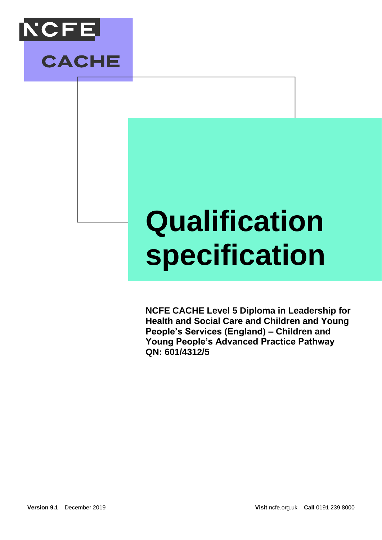



## **Qualification specification**

**NCFE CACHE Level 5 Diploma in Leadership for Health and Social Care and Children and Young People's Services (England) – Children and Young People's Advanced Practice Pathway QN: 601/4312/5**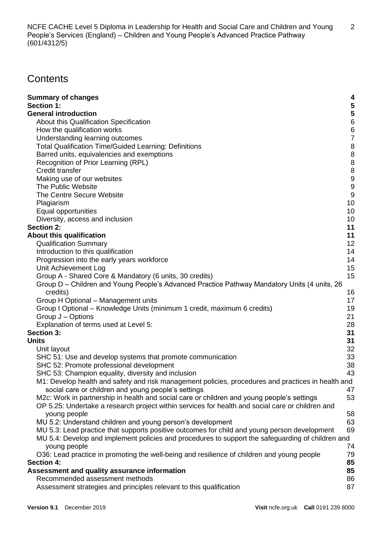## **Contents**

| <b>Summary of changes</b><br><b>Section 1:</b>                                                                  | 4                            |
|-----------------------------------------------------------------------------------------------------------------|------------------------------|
| <b>General introduction</b>                                                                                     | $\overline{\mathbf{5}}$<br>5 |
| About this Qualification Specification                                                                          | $\,6$                        |
| How the qualification works                                                                                     | $\,6$                        |
| Understanding learning outcomes                                                                                 | $\overline{7}$               |
| <b>Total Qualification Time/Guided Learning: Definitions</b>                                                    | $\bf 8$                      |
| Barred units, equivalencies and exemptions                                                                      | $\bf 8$                      |
| Recognition of Prior Learning (RPL)                                                                             | $\,8\,$                      |
| Credit transfer                                                                                                 | $\, 8$                       |
| Making use of our websites                                                                                      | $\boldsymbol{9}$             |
| The Public Website                                                                                              | $\boldsymbol{9}$             |
| The Centre Secure Website                                                                                       | $\boldsymbol{9}$             |
| Plagiarism                                                                                                      | 10                           |
| Equal opportunities                                                                                             | 10                           |
| Diversity, access and inclusion                                                                                 | 10                           |
| <b>Section 2:</b>                                                                                               | 11                           |
| About this qualification                                                                                        | 11                           |
| <b>Qualification Summary</b>                                                                                    | 12                           |
| Introduction to this qualification                                                                              | 14                           |
| Progression into the early years workforce                                                                      | 14                           |
| Unit Achievement Log                                                                                            | 15                           |
| Group A - Shared Core & Mandatory (6 units, 30 credits)                                                         | 15                           |
| Group D – Children and Young People's Advanced Practice Pathway Mandatory Units (4 units, 26                    |                              |
| credits)                                                                                                        | 16                           |
| Group H Optional - Management units                                                                             | 17                           |
| Group I Optional - Knowledge Units (minimum 1 credit, maximum 6 credits)                                        | 19                           |
| Group J – Options                                                                                               | 21                           |
| Explanation of terms used at Level 5:                                                                           | 28                           |
| <b>Section 3:</b>                                                                                               | 31                           |
| <b>Units</b>                                                                                                    | 31                           |
| Unit layout                                                                                                     | 32                           |
| SHC 51: Use and develop systems that promote communication                                                      | 33                           |
| SHC 52: Promote professional development                                                                        | 38                           |
| SHC 53: Champion equality, diversity and inclusion                                                              | 43                           |
| M1: Develop health and safety and risk management policies, procedures and practices in health and              |                              |
| social care or children and young people's settings                                                             | 47                           |
| M2c: Work in partnership in health and social care or children and young people's settings                      | 53                           |
| OP 5.25: Undertake a research project within services for health and social care or children and                |                              |
| young people                                                                                                    | 58                           |
| MU 5.2: Understand children and young person's development                                                      | 63                           |
| MU 5.3: Lead practice that supports positive outcomes for child and young person development                    | 69                           |
| MU 5.4: Develop and implement policies and procedures to support the safeguarding of children and               |                              |
| young people                                                                                                    | 74                           |
| O36: Lead practice in promoting the well-being and resilience of children and young people<br><b>Section 4:</b> | 79                           |
|                                                                                                                 | 85<br>85                     |
| Assessment and quality assurance information<br>Recommended assessment methods                                  | 86                           |
| Assessment strategies and principles relevant to this qualification                                             | 87                           |
|                                                                                                                 |                              |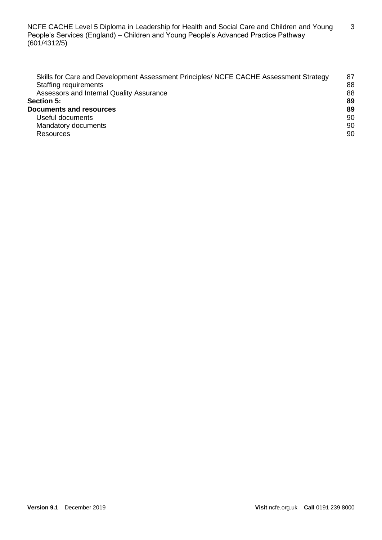NCFE CACHE Level 5 Diploma in Leadership for Health and Social Care and Children and Young 3 People's Services (England) – Children and Young People's Advanced Practice Pathway (601/4312/5)

| Skills for Care and Development Assessment Principles/ NCFE CACHE Assessment Strategy | 87 |
|---------------------------------------------------------------------------------------|----|
| Staffing requirements                                                                 | 88 |
| Assessors and Internal Quality Assurance                                              | 88 |
| <b>Section 5:</b>                                                                     | 89 |
| <b>Documents and resources</b>                                                        | 89 |
| Useful documents                                                                      | 90 |
| Mandatory documents                                                                   | 90 |
| <b>Resources</b>                                                                      | 90 |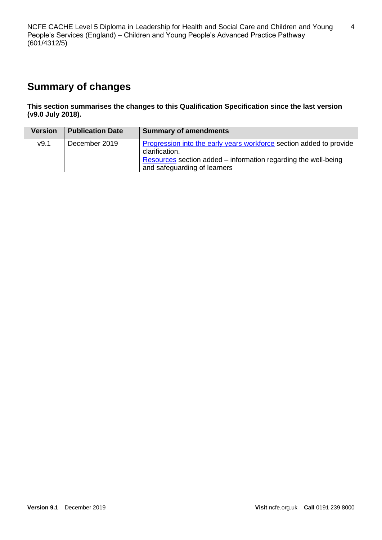NCFE CACHE Level 5 Diploma in Leadership for Health and Social Care and Children and Young 4 People's Services (England) – Children and Young People's Advanced Practice Pathway (601/4312/5)

## **Summary of changes**

**This section summarises the changes to this Qualification Specification since the last version (v9.0 July 2018).**

| <b>Version</b> | <b>Publication Date</b> | <b>Summary of amendments</b>                                                                                                                                                            |
|----------------|-------------------------|-----------------------------------------------------------------------------------------------------------------------------------------------------------------------------------------|
| v9.1           | December 2019           | Progression into the early years workforce section added to provide<br>clarification.<br>Resources section added – information regarding the well-being<br>and safeguarding of learners |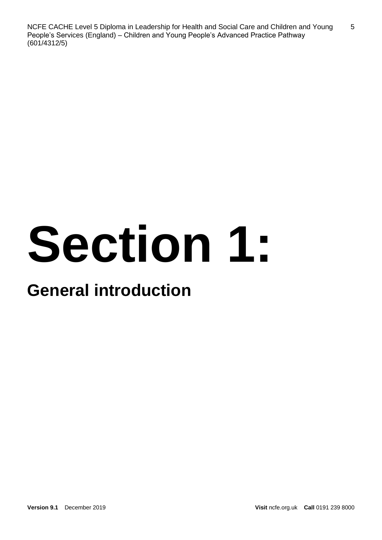NCFE CACHE Level 5 Diploma in Leadership for Health and Social Care and Children and Young 5 People's Services (England) – Children and Young People's Advanced Practice Pathway (601/4312/5)

## **Section 1:**

## **General introduction**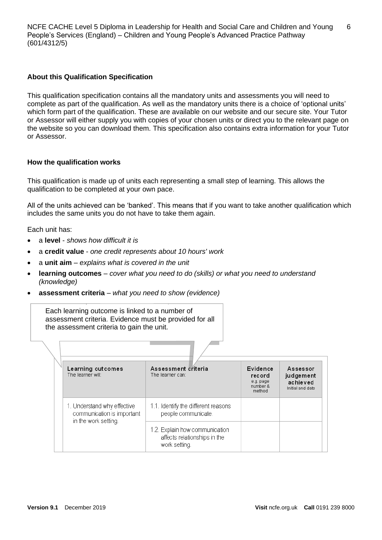NCFE CACHE Level 5 Diploma in Leadership for Health and Social Care and Children and Young 6 People's Services (England) – Children and Young People's Advanced Practice Pathway (601/4312/5)

## **About this Qualification Specification**

This qualification specification contains all the mandatory units and assessments you will need to complete as part of the qualification. As well as the mandatory units there is a choice of 'optional units' which form part of the qualification. These are available on our website and our secure site. Your Tutor or Assessor will either supply you with copies of your chosen units or direct you to the relevant page on the website so you can download them. This specification also contains extra information for your Tutor or Assessor.

## **How the qualification works**

This qualification is made up of units each representing a small step of learning. This allows the qualification to be completed at your own pace.

All of the units achieved can be 'banked'. This means that if you want to take another qualification which includes the same units you do not have to take them again.

Each unit has:

- a **level** *shows how difficult it is*
- a **credit value** *one credit represents about 10 hours' work*
- a **unit aim** *explains what is covered in the unit*
- **learning outcomes** *cover what you need to do (skills) or what you need to understand (knowledge)*
- **assessment criteria** *what you need to show (evidence)*

Each learning outcome is linked to a number of assessment criteria. Evidence must be provided for all the assessment criteria to gain the unit.

| Learning outcomes<br>The learner will:                                            | Assessment criteria<br>The learner can:                                         | Evidence<br>record<br>e.g. page<br>number &<br>method | Assessor<br>judgement<br>achieved<br>Initial and date |
|-----------------------------------------------------------------------------------|---------------------------------------------------------------------------------|-------------------------------------------------------|-------------------------------------------------------|
| 1. Understand why effective<br>communication is important<br>in the work setting. | 1.1. Identify the different reasons<br>people communicate.                      |                                                       |                                                       |
|                                                                                   | 1.2. Explain how communication<br>affects relationships in the<br>work setting. |                                                       |                                                       |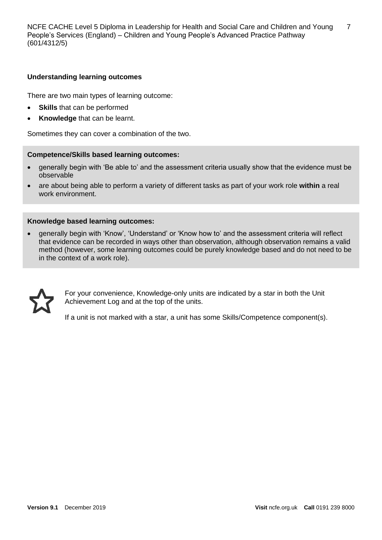NCFE CACHE Level 5 Diploma in Leadership for Health and Social Care and Children and Young 7 People's Services (England) – Children and Young People's Advanced Practice Pathway (601/4312/5)

## **Understanding learning outcomes**

There are two main types of learning outcome:

- **Skills** that can be performed
- **Knowledge** that can be learnt.

Sometimes they can cover a combination of the two.

## **Competence/Skills based learning outcomes:**

- generally begin with 'Be able to' and the assessment criteria usually show that the evidence must be observable
- are about being able to perform a variety of different tasks as part of your work role **within** a real work environment.

### **Knowledge based learning outcomes:**

• generally begin with 'Know', 'Understand' or 'Know how to' and the assessment criteria will reflect that evidence can be recorded in ways other than observation, although observation remains a valid method (however, some learning outcomes could be purely knowledge based and do not need to be in the context of a work role).



For your convenience, Knowledge-only units are indicated by a star in both the Unit Achievement Log and at the top of the units.

If a unit is not marked with a star, a unit has some Skills/Competence component(s).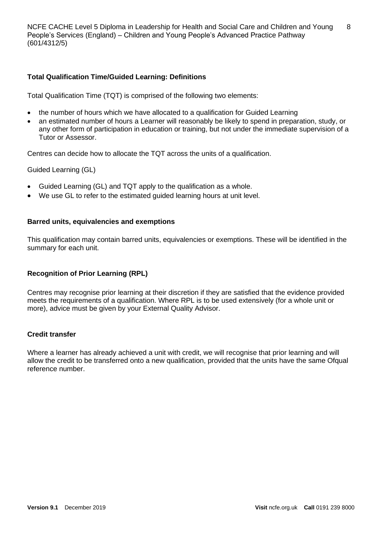NCFE CACHE Level 5 Diploma in Leadership for Health and Social Care and Children and Young 8 People's Services (England) – Children and Young People's Advanced Practice Pathway (601/4312/5)

## **Total Qualification Time/Guided Learning: Definitions**

Total Qualification Time (TQT) is comprised of the following two elements:

- the number of hours which we have allocated to a qualification for Guided Learning
- an estimated number of hours a Learner will reasonably be likely to spend in preparation, study, or any other form of participation in education or training, but not under the immediate supervision of a Tutor or Assessor.

Centres can decide how to allocate the TQT across the units of a qualification.

Guided Learning (GL)

- Guided Learning (GL) and TQT apply to the qualification as a whole.
- We use GL to refer to the estimated guided learning hours at unit level.

## **Barred units, equivalencies and exemptions**

This qualification may contain barred units, equivalencies or exemptions. These will be identified in the summary for each unit.

## **Recognition of Prior Learning (RPL)**

Centres may recognise prior learning at their discretion if they are satisfied that the evidence provided meets the requirements of a qualification. Where RPL is to be used extensively (for a whole unit or more), advice must be given by your External Quality Advisor.

## **Credit transfer**

Where a learner has already achieved a unit with credit, we will recognise that prior learning and will allow the credit to be transferred onto a new qualification, provided that the units have the same Ofqual reference number.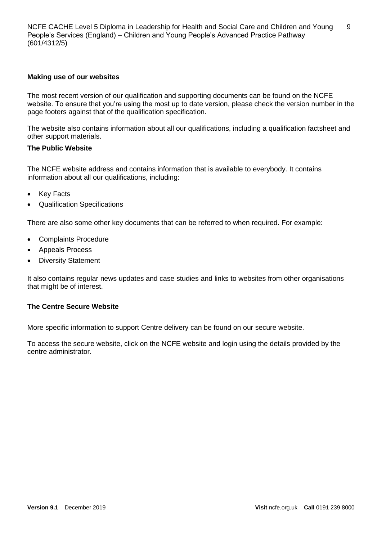NCFE CACHE Level 5 Diploma in Leadership for Health and Social Care and Children and Young 9 People's Services (England) – Children and Young People's Advanced Practice Pathway (601/4312/5)

## **Making use of our websites**

The most recent version of our qualification and supporting documents can be found on the NCFE website. To ensure that you're using the most up to date version, please check the version number in the page footers against that of the qualification specification.

The website also contains information about all our qualifications, including a qualification factsheet and other support materials.

## **The Public Website**

The NCFE website address and contains information that is available to everybody. It contains information about all our qualifications, including:

- Key Facts
- Qualification Specifications

There are also some other key documents that can be referred to when required. For example:

- Complaints Procedure
- Appeals Process
- Diversity Statement

It also contains regular news updates and case studies and links to websites from other organisations that might be of interest.

## **The Centre Secure Website**

More specific information to support Centre delivery can be found on our secure website.

To access the secure website, click on the NCFE website and login using the details provided by the centre administrator.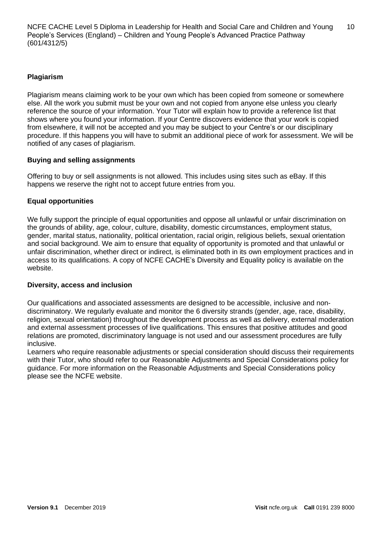NCFE CACHE Level 5 Diploma in Leadership for Health and Social Care and Children and Young 10 People's Services (England) – Children and Young People's Advanced Practice Pathway (601/4312/5)

## **Plagiarism**

Plagiarism means claiming work to be your own which has been copied from someone or somewhere else. All the work you submit must be your own and not copied from anyone else unless you clearly reference the source of your information. Your Tutor will explain how to provide a reference list that shows where you found your information. If your Centre discovers evidence that your work is copied from elsewhere, it will not be accepted and you may be subject to your Centre's or our disciplinary procedure. If this happens you will have to submit an additional piece of work for assessment. We will be notified of any cases of plagiarism.

## **Buying and selling assignments**

Offering to buy or sell assignments is not allowed. This includes using sites such as eBay. If this happens we reserve the right not to accept future entries from you.

## **Equal opportunities**

We fully support the principle of equal opportunities and oppose all unlawful or unfair discrimination on the grounds of ability, age, colour, culture, disability, domestic circumstances, employment status, gender, marital status, nationality, political orientation, racial origin, religious beliefs, sexual orientation and social background. We aim to ensure that equality of opportunity is promoted and that unlawful or unfair discrimination, whether direct or indirect, is eliminated both in its own employment practices and in access to its qualifications. A copy of NCFE CACHE's Diversity and Equality policy is available on the website.

## **Diversity, access and inclusion**

Our qualifications and associated assessments are designed to be accessible, inclusive and nondiscriminatory. We regularly evaluate and monitor the 6 diversity strands (gender, age, race, disability, religion, sexual orientation) throughout the development process as well as delivery, external moderation and external assessment processes of live qualifications. This ensures that positive attitudes and good relations are promoted, discriminatory language is not used and our assessment procedures are fully inclusive.

Learners who require reasonable adjustments or special consideration should discuss their requirements with their Tutor, who should refer to our Reasonable Adjustments and Special Considerations policy for guidance. For more information on the Reasonable Adjustments and Special Considerations policy please see the NCFE website.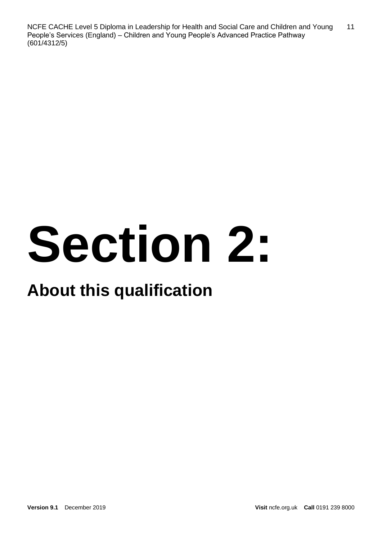NCFE CACHE Level 5 Diploma in Leadership for Health and Social Care and Children and Young 11 People's Services (England) – Children and Young People's Advanced Practice Pathway (601/4312/5)

## **Section 2:**

## **About this qualification**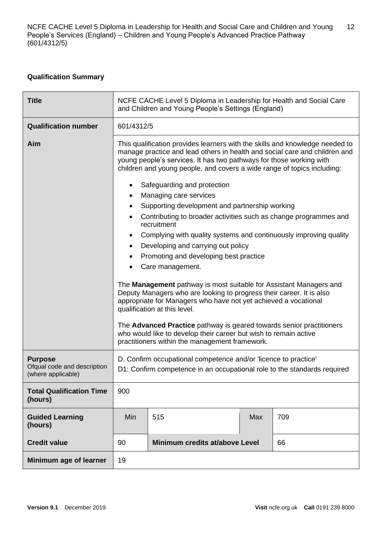NCFE CACHE Level 5 Diploma in Leadership for Health and Social Care and Children and Young 12 People's Services (England) – Children and Young People's Advanced Practice Pathway (601/4312/5)

## **Qualification Summary**

| <b>Title</b>                                                        |            | NCFE CACHE Level 5 Diploma in Leadership for Health and Social Care<br>and Children and Young People's Settings (England)                                                                                                                                                                                                                                                                                                                                                                                                                                                                                                                                                                                                                                                                                                                                                                                                                                                                                                                                                                                                          |  |    |  |  |  |
|---------------------------------------------------------------------|------------|------------------------------------------------------------------------------------------------------------------------------------------------------------------------------------------------------------------------------------------------------------------------------------------------------------------------------------------------------------------------------------------------------------------------------------------------------------------------------------------------------------------------------------------------------------------------------------------------------------------------------------------------------------------------------------------------------------------------------------------------------------------------------------------------------------------------------------------------------------------------------------------------------------------------------------------------------------------------------------------------------------------------------------------------------------------------------------------------------------------------------------|--|----|--|--|--|
| <b>Qualification number</b>                                         | 601/4312/5 |                                                                                                                                                                                                                                                                                                                                                                                                                                                                                                                                                                                                                                                                                                                                                                                                                                                                                                                                                                                                                                                                                                                                    |  |    |  |  |  |
| Aim                                                                 |            | This qualification provides learners with the skills and knowledge needed to<br>manage practice and lead others in health and social care and children and<br>young people's services. It has two pathways for those working with<br>children and young people, and covers a wide range of topics including:<br>Safeguarding and protection<br>Managing care services<br>Supporting development and partnership working<br>Contributing to broader activities such as change programmes and<br>recruitment<br>Complying with quality systems and continuously improving quality<br>Developing and carrying out policy<br>Promoting and developing best practice<br>Care management.<br>The Management pathway is most suitable for Assistant Managers and<br>Deputy Managers who are looking to progress their career. It is also<br>appropriate for Managers who have not yet achieved a vocational<br>qualification at this level.<br>The Advanced Practice pathway is geared towards senior practitioners<br>who would like to develop their career but wish to remain active<br>practitioners within the management framework. |  |    |  |  |  |
| <b>Purpose</b><br>Ofqual code and description<br>(where applicable) |            | D. Confirm occupational competence and/or 'licence to practice'<br>D1: Confirm competence in an occupational role to the standards required                                                                                                                                                                                                                                                                                                                                                                                                                                                                                                                                                                                                                                                                                                                                                                                                                                                                                                                                                                                        |  |    |  |  |  |
| <b>Total Qualification Time</b><br>(hours)                          | 900        |                                                                                                                                                                                                                                                                                                                                                                                                                                                                                                                                                                                                                                                                                                                                                                                                                                                                                                                                                                                                                                                                                                                                    |  |    |  |  |  |
| <b>Guided Learning</b><br>(hours)                                   | Min        | 515<br>709<br>Max                                                                                                                                                                                                                                                                                                                                                                                                                                                                                                                                                                                                                                                                                                                                                                                                                                                                                                                                                                                                                                                                                                                  |  |    |  |  |  |
| <b>Credit value</b>                                                 | 90         | Minimum credits at/above Level                                                                                                                                                                                                                                                                                                                                                                                                                                                                                                                                                                                                                                                                                                                                                                                                                                                                                                                                                                                                                                                                                                     |  | 66 |  |  |  |
| Minimum age of learner                                              | 19         |                                                                                                                                                                                                                                                                                                                                                                                                                                                                                                                                                                                                                                                                                                                                                                                                                                                                                                                                                                                                                                                                                                                                    |  |    |  |  |  |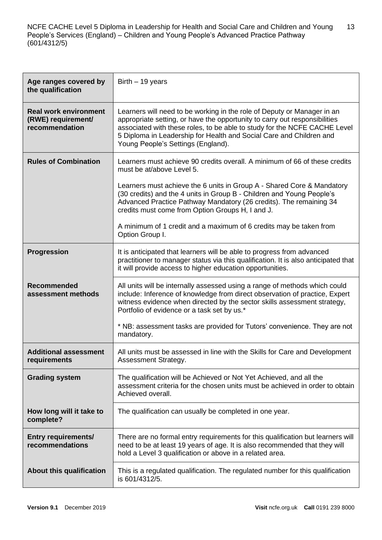NCFE CACHE Level 5 Diploma in Leadership for Health and Social Care and Children and Young 13 People's Services (England) – Children and Young People's Advanced Practice Pathway (601/4312/5)

| Age ranges covered by<br>the qualification                           | Birth $-19$ years                                                                                                                                                                                                                                                                                                                               |
|----------------------------------------------------------------------|-------------------------------------------------------------------------------------------------------------------------------------------------------------------------------------------------------------------------------------------------------------------------------------------------------------------------------------------------|
| <b>Real work environment</b><br>(RWE) requirement/<br>recommendation | Learners will need to be working in the role of Deputy or Manager in an<br>appropriate setting, or have the opportunity to carry out responsibilities<br>associated with these roles, to be able to study for the NCFE CACHE Level<br>5 Diploma in Leadership for Health and Social Care and Children and<br>Young People's Settings (England). |
| <b>Rules of Combination</b>                                          | Learners must achieve 90 credits overall. A minimum of 66 of these credits<br>must be at/above Level 5.                                                                                                                                                                                                                                         |
|                                                                      | Learners must achieve the 6 units in Group A - Shared Core & Mandatory<br>(30 credits) and the 4 units in Group B - Children and Young People's<br>Advanced Practice Pathway Mandatory (26 credits). The remaining 34<br>credits must come from Option Groups H, I and J.                                                                       |
|                                                                      | A minimum of 1 credit and a maximum of 6 credits may be taken from<br>Option Group I.                                                                                                                                                                                                                                                           |
| <b>Progression</b>                                                   | It is anticipated that learners will be able to progress from advanced<br>practitioner to manager status via this qualification. It is also anticipated that<br>it will provide access to higher education opportunities.                                                                                                                       |
| <b>Recommended</b><br>assessment methods                             | All units will be internally assessed using a range of methods which could<br>include: Inference of knowledge from direct observation of practice, Expert<br>witness evidence when directed by the sector skills assessment strategy,<br>Portfolio of evidence or a task set by us.*                                                            |
|                                                                      | * NB: assessment tasks are provided for Tutors' convenience. They are not<br>mandatory.                                                                                                                                                                                                                                                         |
| <b>Additional assessment</b><br>requirements                         | All units must be assessed in line with the Skills for Care and Development<br>Assessment Strategy.                                                                                                                                                                                                                                             |
| <b>Grading system</b>                                                | The qualification will be Achieved or Not Yet Achieved, and all the<br>assessment criteria for the chosen units must be achieved in order to obtain<br>Achieved overall.                                                                                                                                                                        |
| How long will it take to<br>complete?                                | The qualification can usually be completed in one year.                                                                                                                                                                                                                                                                                         |
| <b>Entry requirements/</b><br>recommendations                        | There are no formal entry requirements for this qualification but learners will<br>need to be at least 19 years of age. It is also recommended that they will<br>hold a Level 3 qualification or above in a related area.                                                                                                                       |
| About this qualification                                             | This is a regulated qualification. The regulated number for this qualification<br>is 601/4312/5.                                                                                                                                                                                                                                                |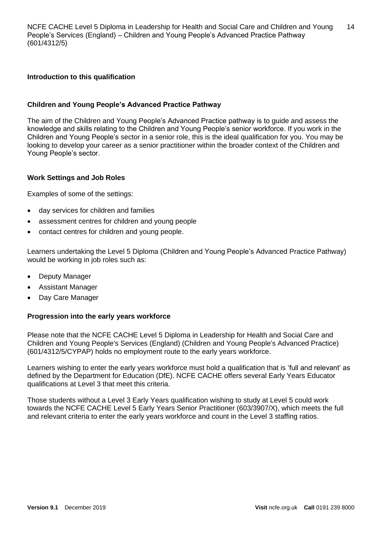NCFE CACHE Level 5 Diploma in Leadership for Health and Social Care and Children and Young 14 People's Services (England) – Children and Young People's Advanced Practice Pathway (601/4312/5)

## **Introduction to this qualification**

## **Children and Young People's Advanced Practice Pathway**

The aim of the Children and Young People's Advanced Practice pathway is to guide and assess the knowledge and skills relating to the Children and Young People's senior workforce. If you work in the Children and Young People's sector in a senior role, this is the ideal qualification for you. You may be looking to develop your career as a senior practitioner within the broader context of the Children and Young People's sector.

## **Work Settings and Job Roles**

Examples of some of the settings:

- day services for children and families
- assessment centres for children and young people
- contact centres for children and young people.

Learners undertaking the Level 5 Diploma (Children and Young People's Advanced Practice Pathway) would be working in job roles such as:

- Deputy Manager
- Assistant Manager
- Day Care Manager

## **Progression into the early years workforce**

Please note that the NCFE CACHE Level 5 Diploma in Leadership for Health and Social Care and Children and Young People's Services (England) (Children and Young People's Advanced Practice) (601/4312/5/CYPAP) holds no employment route to the early years workforce.

Learners wishing to enter the early years workforce must hold a qualification that is 'full and relevant' as defined by the Department for Education (DfE). NCFE CACHE offers several Early Years Educator qualifications at Level 3 that meet this criteria.

Those students without a Level 3 Early Years qualification wishing to study at Level 5 could work towards the NCFE CACHE Level 5 Early Years Senior Practitioner (603/3907/X), which meets the full and relevant criteria to enter the early years workforce and count in the Level 3 staffing ratios.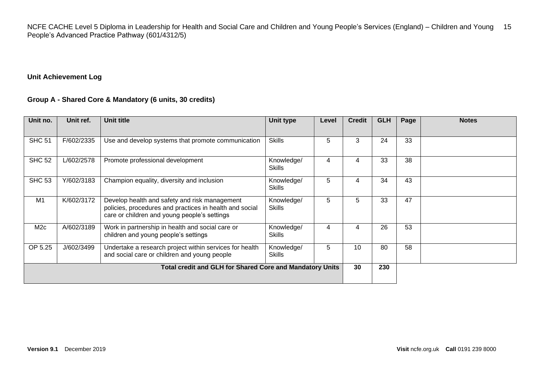NCFE CACHE Level 5 Diploma in Leadership for Health and Social Care and Children and Young People's Services (England) – Children and Young 15 People's Advanced Practice Pathway (601/4312/5)

## **Unit Achievement Log**

## **Group A - Shared Core & Mandatory (6 units, 30 credits)**

| Unit no.                                                 | Unit ref.  | <b>Unit title</b>                                                                                                                                        | Unit type                   | Level | <b>Credit</b> | <b>GLH</b> | Page | <b>Notes</b> |
|----------------------------------------------------------|------------|----------------------------------------------------------------------------------------------------------------------------------------------------------|-----------------------------|-------|---------------|------------|------|--------------|
| <b>SHC 51</b>                                            | F/602/2335 | Use and develop systems that promote communication                                                                                                       | <b>Skills</b>               | 5     | 3             | 24         | 33   |              |
|                                                          |            |                                                                                                                                                          |                             |       |               |            |      |              |
| <b>SHC 52</b>                                            | L/602/2578 | Promote professional development                                                                                                                         | Knowledge/<br><b>Skills</b> | 4     | 4             | 33         | 38   |              |
| <b>SHC 53</b>                                            | Y/602/3183 | Champion equality, diversity and inclusion                                                                                                               | Knowledge/<br><b>Skills</b> | 5     | 4             | 34         | 43   |              |
| M1                                                       | K/602/3172 | Develop health and safety and risk management<br>policies, procedures and practices in health and social<br>care or children and young people's settings | Knowledge/<br><b>Skills</b> | 5     | 5             | 33         | 47   |              |
| M <sub>2c</sub>                                          | A/602/3189 | Work in partnership in health and social care or<br>children and young people's settings                                                                 | Knowledge/<br><b>Skills</b> | 4     | 4             | 26         | 53   |              |
| OP 5.25                                                  | J/602/3499 | Undertake a research project within services for health<br>and social care or children and young people                                                  | Knowledge/<br><b>Skills</b> | 5     | 10            | 80         | 58   |              |
| Total credit and GLH for Shared Core and Mandatory Units |            |                                                                                                                                                          |                             |       | 30            | 230        |      |              |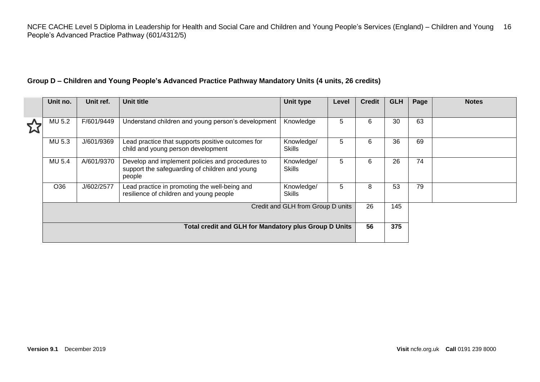NCFE CACHE Level 5 Diploma in Leadership for Health and Social Care and Children and Young People's Services (England) – Children and Young 16 People's Advanced Practice Pathway (601/4312/5)

## **Group D – Children and Young People's Advanced Practice Pathway Mandatory Units (4 units, 26 credits)**

|   | Unit no.                                              | Unit ref.  | Unit title                                                                                                   | Unit type                   | Level | <b>Credit</b> | <b>GLH</b> | Page | <b>Notes</b> |
|---|-------------------------------------------------------|------------|--------------------------------------------------------------------------------------------------------------|-----------------------------|-------|---------------|------------|------|--------------|
|   |                                                       |            |                                                                                                              |                             |       |               |            |      |              |
| 公 | MU 5.2                                                | F/601/9449 | Understand children and young person's development                                                           | Knowledge                   | 5     | 6             | 30         | 63   |              |
|   | MU 5.3                                                | J/601/9369 | Lead practice that supports positive outcomes for<br>child and young person development                      | Knowledge/<br><b>Skills</b> | 5     | 6             | 36         | 69   |              |
|   | MU 5.4                                                | A/601/9370 | Develop and implement policies and procedures to<br>support the safeguarding of children and young<br>people | Knowledge/<br><b>Skills</b> | 5     | 6             | 26         | 74   |              |
|   | O36                                                   | J/602/2577 | Lead practice in promoting the well-being and<br>resilience of children and young people                     | Knowledge/<br><b>Skills</b> | 5     | 8             | 53         | 79   |              |
|   | Credit and GLH from Group D units                     |            |                                                                                                              |                             |       |               |            |      |              |
|   | Total credit and GLH for Mandatory plus Group D Units |            |                                                                                                              |                             |       |               | 375        |      |              |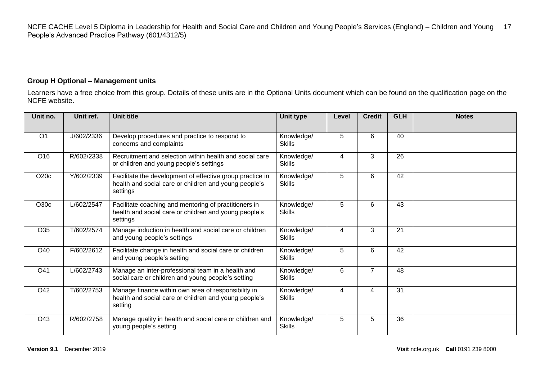NCFE CACHE Level 5 Diploma in Leadership for Health and Social Care and Children and Young People's Services (England) – Children and Young 17 People's Advanced Practice Pathway (601/4312/5)

## **Group H Optional – Management units**

Learners have a free choice from this group. Details of these units are in the Optional Units document which can be found on the qualification page on the NCFE website.

| Unit no.        | Unit ref.  | Unit title                                                                                                                     | <b>Unit type</b>            | Level          | <b>Credit</b>            | <b>GLH</b> | <b>Notes</b> |
|-----------------|------------|--------------------------------------------------------------------------------------------------------------------------------|-----------------------------|----------------|--------------------------|------------|--------------|
|                 |            |                                                                                                                                |                             |                |                          |            |              |
| O <sub>1</sub>  | J/602/2336 | Develop procedures and practice to respond to<br>concerns and complaints                                                       | Knowledge/<br><b>Skills</b> | 5              | 6                        | 40         |              |
| O <sub>16</sub> | R/602/2338 | Recruitment and selection within health and social care<br>or children and young people's settings                             | Knowledge/<br><b>Skills</b> | 4              | 3                        | 26         |              |
| O20c            | Y/602/2339 | Facilitate the development of effective group practice in<br>health and social care or children and young people's<br>settings | Knowledge/<br><b>Skills</b> | 5              | 6                        | 42         |              |
| O30c            | L/602/2547 | Facilitate coaching and mentoring of practitioners in<br>health and social care or children and young people's<br>settings     | Knowledge/<br><b>Skills</b> | 5              | 6                        | 43         |              |
| O35             | T/602/2574 | Manage induction in health and social care or children<br>and young people's settings                                          | Knowledge/<br><b>Skills</b> | $\overline{4}$ | 3                        | 21         |              |
| O40             | F/602/2612 | Facilitate change in health and social care or children<br>and young people's setting                                          | Knowledge/<br><b>Skills</b> | 5              | 6                        | 42         |              |
| O41             | L/602/2743 | Manage an inter-professional team in a health and<br>social care or children and young people's setting                        | Knowledge/<br><b>Skills</b> | 6              | $\overline{\phantom{a}}$ | 48         |              |
| O42             | T/602/2753 | Manage finance within own area of responsibility in<br>health and social care or children and young people's<br>setting        | Knowledge/<br><b>Skills</b> | 4              | 4                        | 31         |              |
| O43             | R/602/2758 | Manage quality in health and social care or children and<br>young people's setting                                             | Knowledge/<br><b>Skills</b> | 5              | 5                        | 36         |              |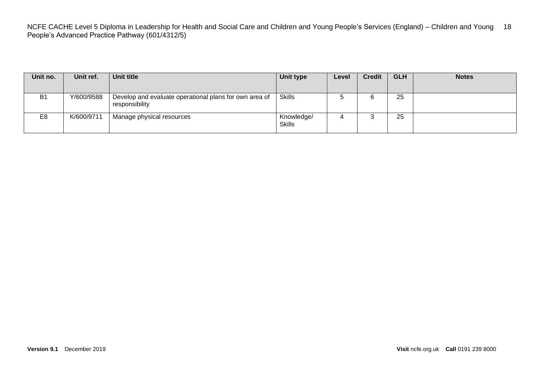NCFE CACHE Level 5 Diploma in Leadership for Health and Social Care and Children and Young People's Services (England) – Children and Young 18 People's Advanced Practice Pathway (601/4312/5)

| Unit no.  | Unit ref.  | Unit title                                                               | Unit type                   | Level | <b>Credit</b> | <b>GLH</b> | <b>Notes</b> |
|-----------|------------|--------------------------------------------------------------------------|-----------------------------|-------|---------------|------------|--------------|
| <b>B1</b> | Y/600/9588 | Develop and evaluate operational plans for own area of<br>responsibility | <b>Skills</b>               |       |               | 25         |              |
| E8        | K/600/9711 | Manage physical resources                                                | Knowledge/<br><b>Skills</b> | 4     |               | 25         |              |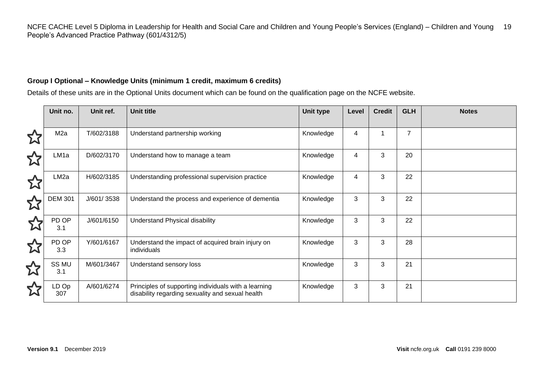NCFE CACHE Level 5 Diploma in Leadership for Health and Social Care and Children and Young People's Services (England) – Children and Young 19 People's Advanced Practice Pathway (601/4312/5)

## **Group I Optional – Knowledge Units (minimum 1 credit, maximum 6 credits)**

Details of these units are in the Optional Units document which can be found on the qualification page on the NCFE website.

|   | Unit no.         | Unit ref.  | <b>Unit title</b>                                                                                        | Unit type | Level | <b>Credit</b> | <b>GLH</b>     | <b>Notes</b> |
|---|------------------|------------|----------------------------------------------------------------------------------------------------------|-----------|-------|---------------|----------------|--------------|
|   |                  |            |                                                                                                          |           |       |               |                |              |
| 公 | M <sub>2</sub> a | T/602/3188 | Understand partnership working                                                                           | Knowledge | 4     |               | $\overline{7}$ |              |
| 公 | LM <sub>1a</sub> | D/602/3170 | Understand how to manage a team                                                                          | Knowledge | 4     | 3             | 20             |              |
| 公 | LM <sub>2a</sub> | H/602/3185 | Understanding professional supervision practice                                                          | Knowledge | 4     | 3             | 22             |              |
| 公 | <b>DEM 301</b>   | J/601/3538 | Understand the process and experience of dementia                                                        | Knowledge | 3     | 3             | 22             |              |
|   | PD OP<br>3.1     | J/601/6150 | <b>Understand Physical disability</b>                                                                    | Knowledge | 3     | 3             | 22             |              |
|   | PD OP<br>3.3     | Y/601/6167 | Understand the impact of acquired brain injury on<br>individuals                                         | Knowledge | 3     | 3             | 28             |              |
| ☆ | SS MU<br>3.1     | M/601/3467 | Understand sensory loss                                                                                  | Knowledge | 3     | 3             | 21             |              |
| 公 | LD Op<br>307     | A/601/6274 | Principles of supporting individuals with a learning<br>disability regarding sexuality and sexual health | Knowledge | 3     | 3             | 21             |              |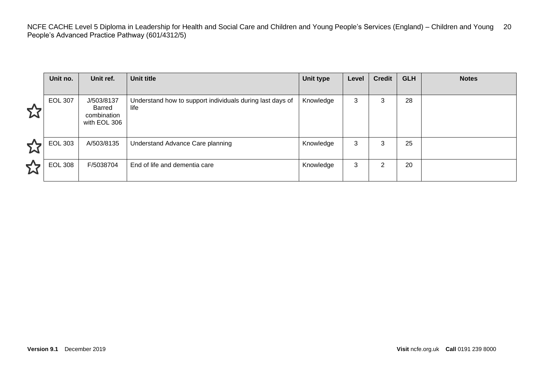NCFE CACHE Level 5 Diploma in Leadership for Health and Social Care and Children and Young People's Services (England) – Children and Young 20 People's Advanced Practice Pathway (601/4312/5)

|           | Unit no.       | Unit ref.                                           | Unit title                                                        | Unit type | Level | <b>Credit</b>  | <b>GLH</b> | <b>Notes</b> |
|-----------|----------------|-----------------------------------------------------|-------------------------------------------------------------------|-----------|-------|----------------|------------|--------------|
|           |                |                                                     |                                                                   |           |       |                |            |              |
| 公         | <b>EOL 307</b> | J/503/8137<br>Barred<br>combination<br>with EOL 306 | Understand how to support individuals during last days of<br>life | Knowledge | 3     | 3              | 28         |              |
| ☆         | <b>EOL 303</b> | A/503/8135                                          | Understand Advance Care planning                                  | Knowledge | 3     | 3              | 25         |              |
| <b>ZZ</b> | <b>EOL 308</b> | F/5038704                                           | End of life and dementia care                                     | Knowledge | 3     | $\overline{2}$ | 20         |              |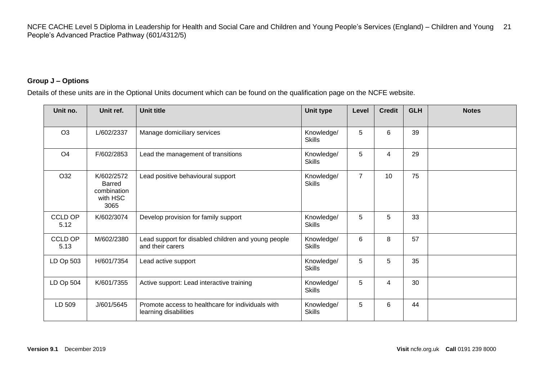NCFE CACHE Level 5 Diploma in Leadership for Health and Social Care and Children and Young People's Services (England) – Children and Young 21 People's Advanced Practice Pathway (601/4312/5)

## **Group J – Options**

Details of these units are in the Optional Units document which can be found on the qualification page on the NCFE website.

| Unit no.               | Unit ref.                                                      | <b>Unit title</b>                                                          | Unit type                   | Level          | <b>Credit</b> | <b>GLH</b> | <b>Notes</b> |
|------------------------|----------------------------------------------------------------|----------------------------------------------------------------------------|-----------------------------|----------------|---------------|------------|--------------|
| O <sub>3</sub>         | L/602/2337                                                     | Manage domiciliary services                                                | Knowledge/<br><b>Skills</b> | 5              | 6             | 39         |              |
| O <sub>4</sub>         | F/602/2853                                                     | Lead the management of transitions                                         | Knowledge/<br><b>Skills</b> | 5              | 4             | 29         |              |
| O32                    | K/602/2572<br><b>Barred</b><br>combination<br>with HSC<br>3065 | Lead positive behavioural support                                          | Knowledge/<br><b>Skills</b> | $\overline{7}$ | 10            | 75         |              |
| <b>CCLD OP</b><br>5.12 | K/602/3074                                                     | Develop provision for family support                                       | Knowledge/<br><b>Skills</b> | 5              | 5             | 33         |              |
| <b>CCLD OP</b><br>5.13 | M/602/2380                                                     | Lead support for disabled children and young people<br>and their carers    | Knowledge/<br><b>Skills</b> | 6              | 8             | 57         |              |
| LD Op 503              | H/601/7354                                                     | Lead active support                                                        | Knowledge/<br><b>Skills</b> | 5              | 5             | 35         |              |
| LD Op 504              | K/601/7355                                                     | Active support: Lead interactive training                                  | Knowledge/<br><b>Skills</b> | 5              | 4             | 30         |              |
| LD 509                 | J/601/5645                                                     | Promote access to healthcare for individuals with<br>learning disabilities | Knowledge/<br><b>Skills</b> | 5              | 6             | 44         |              |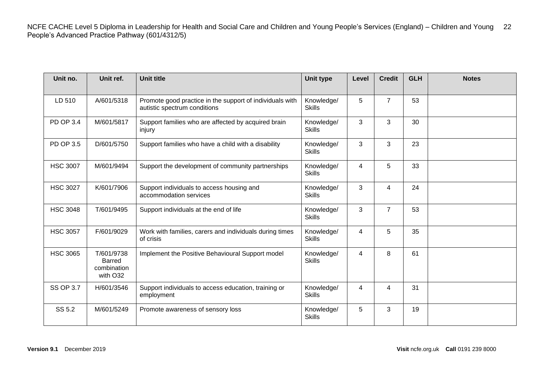NCFE CACHE Level 5 Diploma in Leadership for Health and Social Care and Children and Young People's Services (England) – Children and Young 22 People's Advanced Practice Pathway (601/4312/5)

| Unit no.         | Unit ref.                                              | <b>Unit title</b>                                                                        | Unit type                   | Level          | <b>Credit</b>  | <b>GLH</b> | <b>Notes</b> |
|------------------|--------------------------------------------------------|------------------------------------------------------------------------------------------|-----------------------------|----------------|----------------|------------|--------------|
| LD 510           | A/601/5318                                             | Promote good practice in the support of individuals with<br>autistic spectrum conditions | Knowledge/<br><b>Skills</b> | 5              | $\overline{7}$ | 53         |              |
| <b>PD OP 3.4</b> | M/601/5817                                             | Support families who are affected by acquired brain<br>injury                            | Knowledge/<br><b>Skills</b> | 3              | 3              | 30         |              |
| <b>PD OP 3.5</b> | D/601/5750                                             | Support families who have a child with a disability                                      | Knowledge/<br><b>Skills</b> | 3              | 3              | 23         |              |
| <b>HSC 3007</b>  | M/601/9494                                             | Support the development of community partnerships                                        | Knowledge/<br><b>Skills</b> | $\overline{4}$ | 5              | 33         |              |
| <b>HSC 3027</b>  | K/601/7906                                             | Support individuals to access housing and<br>accommodation services                      | Knowledge/<br><b>Skills</b> | 3              | 4              | 24         |              |
| <b>HSC 3048</b>  | T/601/9495                                             | Support individuals at the end of life                                                   | Knowledge/<br><b>Skills</b> | 3              | $\overline{7}$ | 53         |              |
| <b>HSC 3057</b>  | F/601/9029                                             | Work with families, carers and individuals during times<br>of crisis                     | Knowledge/<br><b>Skills</b> | 4              | 5              | 35         |              |
| <b>HSC 3065</b>  | T/601/9738<br><b>Barred</b><br>combination<br>with O32 | Implement the Positive Behavioural Support model                                         | Knowledge/<br><b>Skills</b> | 4              | 8              | 61         |              |
| <b>SS OP 3.7</b> | H/601/3546                                             | Support individuals to access education, training or<br>employment                       | Knowledge/<br><b>Skills</b> | 4              | $\overline{4}$ | 31         |              |
| SS 5.2           | M/601/5249                                             | Promote awareness of sensory loss                                                        | Knowledge/<br><b>Skills</b> | 5              | 3              | 19         |              |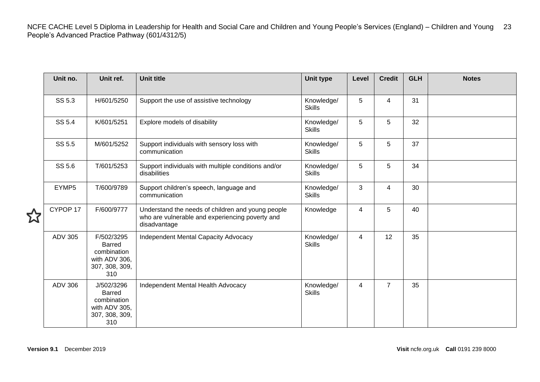NCFE CACHE Level 5 Diploma in Leadership for Health and Social Care and Children and Young People's Services (England) – Children and Young 23 People's Advanced Practice Pathway (601/4312/5)

|   | Unit no.       | Unit ref.                                                                            | <b>Unit title</b>                                                                                                    | Unit type                   | Level          | <b>Credit</b>  | <b>GLH</b> | <b>Notes</b> |
|---|----------------|--------------------------------------------------------------------------------------|----------------------------------------------------------------------------------------------------------------------|-----------------------------|----------------|----------------|------------|--------------|
|   | SS 5.3         | H/601/5250                                                                           | Support the use of assistive technology                                                                              | Knowledge/<br><b>Skills</b> | 5              | 4              | 31         |              |
|   | SS 5.4         | K/601/5251                                                                           | Explore models of disability                                                                                         | Knowledge/<br><b>Skills</b> | 5              | 5              | 32         |              |
|   | SS 5.5         | M/601/5252                                                                           | Support individuals with sensory loss with<br>communication                                                          | Knowledge/<br><b>Skills</b> | 5              | 5              | 37         |              |
|   | SS 5.6         | T/601/5253                                                                           | Support individuals with multiple conditions and/or<br>disabilities                                                  | Knowledge/<br><b>Skills</b> | 5              | 5              | 34         |              |
|   | EYMP5          | T/600/9789                                                                           | Support children's speech, language and<br>communication                                                             | Knowledge/<br><b>Skills</b> | 3              | $\overline{4}$ | 30         |              |
| 公 | CYPOP 17       | F/600/9777                                                                           | Understand the needs of children and young people<br>who are vulnerable and experiencing poverty and<br>disadvantage | Knowledge                   | 4              | 5              | 40         |              |
|   | <b>ADV 305</b> | F/502/3295<br><b>Barred</b><br>combination<br>with ADV 306,<br>307, 308, 309,<br>310 | <b>Independent Mental Capacity Advocacy</b>                                                                          | Knowledge/<br><b>Skills</b> | $\overline{4}$ | 12             | 35         |              |
|   | <b>ADV 306</b> | J/502/3296<br><b>Barred</b><br>combination<br>with ADV 305,<br>307, 308, 309,<br>310 | Independent Mental Health Advocacy                                                                                   | Knowledge/<br><b>Skills</b> | $\overline{4}$ | $\overline{7}$ | 35         |              |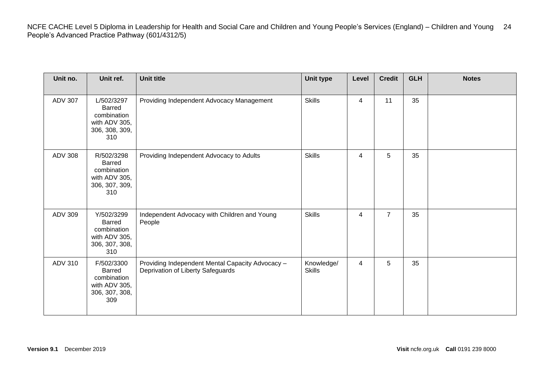NCFE CACHE Level 5 Diploma in Leadership for Health and Social Care and Children and Young People's Services (England) – Children and Young 24 People's Advanced Practice Pathway (601/4312/5)

| Unit no.       | Unit ref.                                                                            | <b>Unit title</b>                                                                     | <b>Unit type</b>            | Level | <b>Credit</b>  | <b>GLH</b> | <b>Notes</b> |
|----------------|--------------------------------------------------------------------------------------|---------------------------------------------------------------------------------------|-----------------------------|-------|----------------|------------|--------------|
|                |                                                                                      |                                                                                       |                             |       |                |            |              |
| <b>ADV 307</b> | L/502/3297<br><b>Barred</b><br>combination<br>with ADV 305,<br>306, 308, 309,<br>310 | Providing Independent Advocacy Management                                             | <b>Skills</b>               | 4     | 11             | 35         |              |
| <b>ADV 308</b> | R/502/3298<br><b>Barred</b><br>combination<br>with ADV 305,<br>306, 307, 309,<br>310 | Providing Independent Advocacy to Adults                                              | <b>Skills</b>               | 4     | 5              | 35         |              |
| <b>ADV 309</b> | Y/502/3299<br><b>Barred</b><br>combination<br>with ADV 305,<br>306, 307, 308,<br>310 | Independent Advocacy with Children and Young<br>People                                | <b>Skills</b>               | 4     | $\overline{7}$ | 35         |              |
| <b>ADV 310</b> | F/502/3300<br><b>Barred</b><br>combination<br>with ADV 305,<br>306, 307, 308,<br>309 | Providing Independent Mental Capacity Advocacy -<br>Deprivation of Liberty Safeguards | Knowledge/<br><b>Skills</b> | 4     | 5              | 35         |              |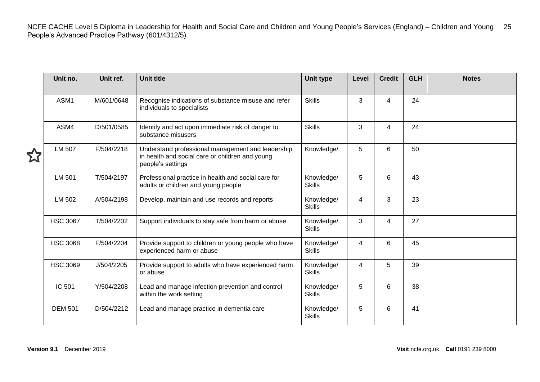NCFE CACHE Level 5 Diploma in Leadership for Health and Social Care and Children and Young People's Services (England) – Children and Young 25 People's Advanced Practice Pathway (601/4312/5)

|   | Unit no.        | Unit ref.  | <b>Unit title</b>                                                                                                         | Unit type                   | Level | <b>Credit</b> | <b>GLH</b> | <b>Notes</b> |
|---|-----------------|------------|---------------------------------------------------------------------------------------------------------------------------|-----------------------------|-------|---------------|------------|--------------|
|   |                 |            |                                                                                                                           |                             |       |               |            |              |
|   | ASM1            | M/601/0648 | Recognise indications of substance misuse and refer<br>individuals to specialists                                         | <b>Skills</b>               | 3     | 4             | 24         |              |
|   | ASM4            | D/501/0585 | Identify and act upon immediate risk of danger to<br>substance misusers                                                   | <b>Skills</b>               | 3     | 4             | 24         |              |
| 公 | LM 507          | F/504/2218 | Understand professional management and leadership<br>in health and social care or children and young<br>people's settings | Knowledge/                  | 5     | 6             | 50         |              |
|   | LM 501          | T/504/2197 | Professional practice in health and social care for<br>adults or children and young people                                | Knowledge/<br><b>Skills</b> | 5     | 6             | 43         |              |
|   | LM 502          | A/504/2198 | Develop, maintain and use records and reports                                                                             | Knowledge/<br><b>Skills</b> | 4     | 3             | 23         |              |
|   | <b>HSC 3067</b> | T/504/2202 | Support individuals to stay safe from harm or abuse                                                                       | Knowledge/<br><b>Skills</b> | 3     | 4             | 27         |              |
|   | <b>HSC 3068</b> | F/504/2204 | Provide support to children or young people who have<br>experienced harm or abuse                                         | Knowledge/<br><b>Skills</b> | 4     | 6             | 45         |              |
|   | <b>HSC 3069</b> | J/504/2205 | Provide support to adults who have experienced harm<br>or abuse                                                           | Knowledge/<br><b>Skills</b> | 4     | 5             | 39         |              |
|   | IC 501          | Y/504/2208 | Lead and manage infection prevention and control<br>within the work setting                                               | Knowledge/<br><b>Skills</b> | 5     | 6             | 38         |              |
|   | <b>DEM 501</b>  | D/504/2212 | Lead and manage practice in dementia care                                                                                 | Knowledge/<br><b>Skills</b> | 5     | 6             | 41         |              |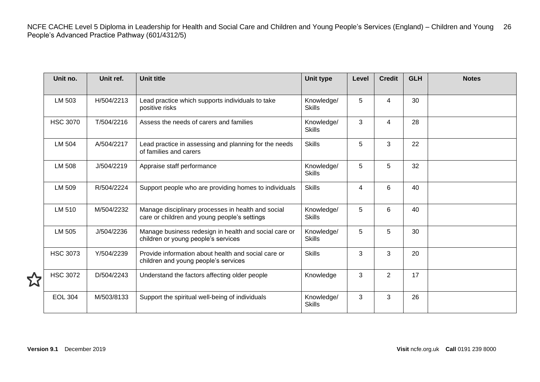NCFE CACHE Level 5 Diploma in Leadership for Health and Social Care and Children and Young People's Services (England) – Children and Young 26 People's Advanced Practice Pathway (601/4312/5)

|   | Unit no.        | Unit ref.  | <b>Unit title</b>                                                                                  | Unit type                   | Level | <b>Credit</b>  | <b>GLH</b> | <b>Notes</b> |
|---|-----------------|------------|----------------------------------------------------------------------------------------------------|-----------------------------|-------|----------------|------------|--------------|
|   | LM 503          | H/504/2213 | Lead practice which supports individuals to take<br>positive risks                                 | Knowledge/<br><b>Skills</b> | 5     | 4              | 30         |              |
|   | <b>HSC 3070</b> | T/504/2216 | Assess the needs of carers and families                                                            | Knowledge/<br><b>Skills</b> | 3     | 4              | 28         |              |
|   | LM 504          | A/504/2217 | Lead practice in assessing and planning for the needs<br>of families and carers                    | <b>Skills</b>               | 5     | 3              | 22         |              |
|   | <b>LM 508</b>   | J/504/2219 | Appraise staff performance                                                                         | Knowledge/<br><b>Skills</b> | 5     | 5              | 32         |              |
|   | LM 509          | R/504/2224 | Support people who are providing homes to individuals                                              | <b>Skills</b>               | 4     | 6              | 40         |              |
|   | LM 510          | M/504/2232 | Manage disciplinary processes in health and social<br>care or children and young people's settings | Knowledge/<br><b>Skills</b> | 5     | 6              | 40         |              |
|   | LM 505          | J/504/2236 | Manage business redesign in health and social care or<br>children or young people's services       | Knowledge/<br><b>Skills</b> | 5     | 5              | 30         |              |
|   | <b>HSC 3073</b> | Y/504/2239 | Provide information about health and social care or<br>children and young people's services        | <b>Skills</b>               | 3     | 3              | 20         |              |
| 公 | <b>HSC 3072</b> | D/504/2243 | Understand the factors affecting older people                                                      | Knowledge                   | 3     | $\overline{2}$ | 17         |              |
|   | <b>EOL 304</b>  | M/503/8133 | Support the spiritual well-being of individuals                                                    | Knowledge/<br><b>Skills</b> | 3     | 3              | 26         |              |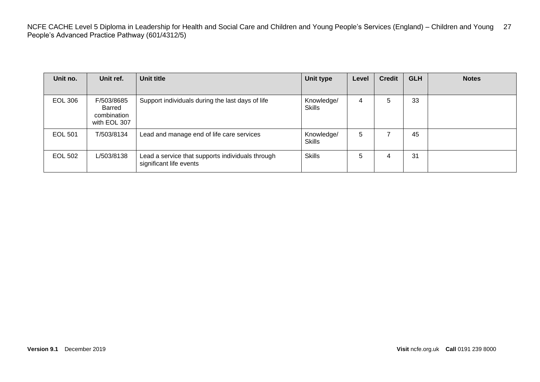NCFE CACHE Level 5 Diploma in Leadership for Health and Social Care and Children and Young People's Services (England) – Children and Young 27 People's Advanced Practice Pathway (601/4312/5)

| Unit no.       | Unit ref.                                           | Unit title                                                                  | Unit type                   | Level | <b>Credit</b> | <b>GLH</b> | <b>Notes</b> |
|----------------|-----------------------------------------------------|-----------------------------------------------------------------------------|-----------------------------|-------|---------------|------------|--------------|
| <b>EOL 306</b> | F/503/8685<br>Barred<br>combination<br>with EOL 307 | Support individuals during the last days of life                            | Knowledge/<br><b>Skills</b> | 4     | 5             | 33         |              |
| <b>EOL 501</b> | T/503/8134                                          | Lead and manage end of life care services                                   | Knowledge/<br><b>Skills</b> | 5     |               | 45         |              |
| <b>EOL 502</b> | L/503/8138                                          | Lead a service that supports individuals through<br>significant life events | <b>Skills</b>               | 5     | 4             | 31         |              |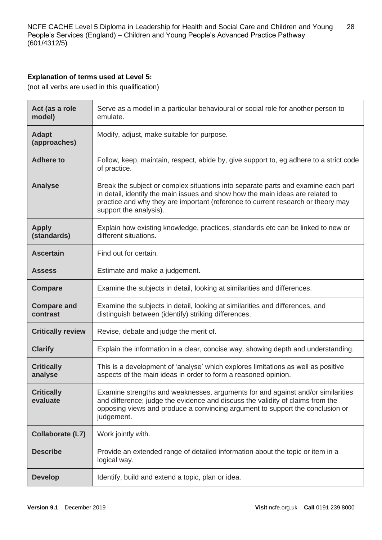## **Explanation of terms used at Level 5:**

(not all verbs are used in this qualification)

| Act (as a role<br>model)       | Serve as a model in a particular behavioural or social role for another person to<br>emulate.                                                                                                                                                                                     |
|--------------------------------|-----------------------------------------------------------------------------------------------------------------------------------------------------------------------------------------------------------------------------------------------------------------------------------|
| <b>Adapt</b><br>(approaches)   | Modify, adjust, make suitable for purpose.                                                                                                                                                                                                                                        |
| <b>Adhere to</b>               | Follow, keep, maintain, respect, abide by, give support to, eg adhere to a strict code<br>of practice.                                                                                                                                                                            |
| <b>Analyse</b>                 | Break the subject or complex situations into separate parts and examine each part<br>in detail, identify the main issues and show how the main ideas are related to<br>practice and why they are important (reference to current research or theory may<br>support the analysis). |
| <b>Apply</b><br>(standards)    | Explain how existing knowledge, practices, standards etc can be linked to new or<br>different situations.                                                                                                                                                                         |
| <b>Ascertain</b>               | Find out for certain.                                                                                                                                                                                                                                                             |
| <b>Assess</b>                  | Estimate and make a judgement.                                                                                                                                                                                                                                                    |
| <b>Compare</b>                 | Examine the subjects in detail, looking at similarities and differences.                                                                                                                                                                                                          |
| <b>Compare and</b><br>contrast | Examine the subjects in detail, looking at similarities and differences, and<br>distinguish between (identify) striking differences.                                                                                                                                              |
| <b>Critically review</b>       | Revise, debate and judge the merit of.                                                                                                                                                                                                                                            |
| <b>Clarify</b>                 | Explain the information in a clear, concise way, showing depth and understanding.                                                                                                                                                                                                 |
| <b>Critically</b><br>analyse   | This is a development of 'analyse' which explores limitations as well as positive<br>aspects of the main ideas in order to form a reasoned opinion.                                                                                                                               |
| <b>Critically</b><br>evaluate  | Examine strengths and weaknesses, arguments for and against and/or similarities<br>and difference; judge the evidence and discuss the validity of claims from the<br>opposing views and produce a convincing argument to support the conclusion or<br>judgement.                  |
| Collaborate (L7)               | Work jointly with.                                                                                                                                                                                                                                                                |
| <b>Describe</b>                | Provide an extended range of detailed information about the topic or item in a<br>logical way.                                                                                                                                                                                    |
| <b>Develop</b>                 | Identify, build and extend a topic, plan or idea.                                                                                                                                                                                                                                 |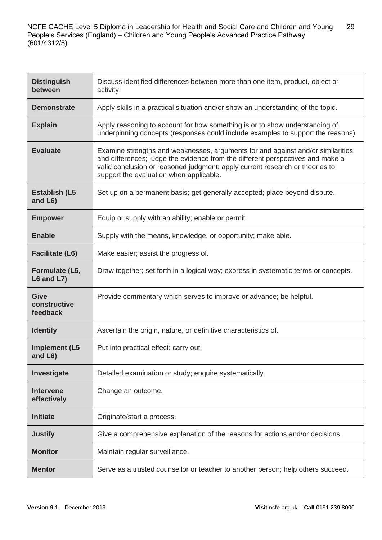NCFE CACHE Level 5 Diploma in Leadership for Health and Social Care and Children and Young 29 People's Services (England) – Children and Young People's Advanced Practice Pathway (601/4312/5)

| <b>Distinguish</b><br>between           | Discuss identified differences between more than one item, product, object or<br>activity.                                                                                                                                                                                                   |
|-----------------------------------------|----------------------------------------------------------------------------------------------------------------------------------------------------------------------------------------------------------------------------------------------------------------------------------------------|
| <b>Demonstrate</b>                      | Apply skills in a practical situation and/or show an understanding of the topic.                                                                                                                                                                                                             |
| <b>Explain</b>                          | Apply reasoning to account for how something is or to show understanding of<br>underpinning concepts (responses could include examples to support the reasons).                                                                                                                              |
| <b>Evaluate</b>                         | Examine strengths and weaknesses, arguments for and against and/or similarities<br>and differences; judge the evidence from the different perspectives and make a<br>valid conclusion or reasoned judgment; apply current research or theories to<br>support the evaluation when applicable. |
| <b>Establish (L5</b><br>and L6)         | Set up on a permanent basis; get generally accepted; place beyond dispute.                                                                                                                                                                                                                   |
| <b>Empower</b>                          | Equip or supply with an ability; enable or permit.                                                                                                                                                                                                                                           |
| <b>Enable</b>                           | Supply with the means, knowledge, or opportunity; make able.                                                                                                                                                                                                                                 |
| Facilitate (L6)                         | Make easier; assist the progress of.                                                                                                                                                                                                                                                         |
| Formulate (L5,<br>$L6$ and $L7$ )       | Draw together; set forth in a logical way; express in systematic terms or concepts.                                                                                                                                                                                                          |
| <b>Give</b><br>constructive<br>feedback | Provide commentary which serves to improve or advance; be helpful.                                                                                                                                                                                                                           |
| <b>Identify</b>                         | Ascertain the origin, nature, or definitive characteristics of.                                                                                                                                                                                                                              |
| <b>Implement (L5</b><br>and L6)         | Put into practical effect; carry out.                                                                                                                                                                                                                                                        |
| Investigate                             | Detailed examination or study; enquire systematically.                                                                                                                                                                                                                                       |
| <b>Intervene</b><br>effectively         | Change an outcome.                                                                                                                                                                                                                                                                           |
| <b>Initiate</b>                         | Originate/start a process.                                                                                                                                                                                                                                                                   |
| <b>Justify</b>                          | Give a comprehensive explanation of the reasons for actions and/or decisions.                                                                                                                                                                                                                |
| <b>Monitor</b>                          | Maintain regular surveillance.                                                                                                                                                                                                                                                               |
| <b>Mentor</b>                           | Serve as a trusted counsellor or teacher to another person; help others succeed.                                                                                                                                                                                                             |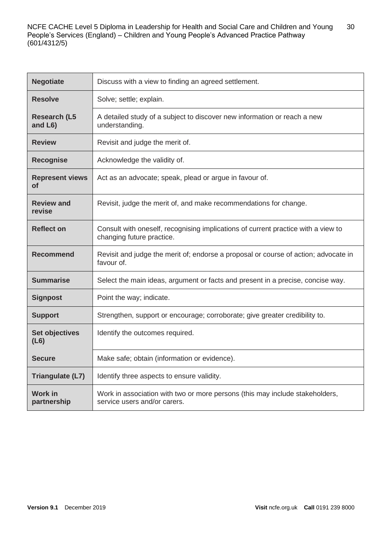NCFE CACHE Level 5 Diploma in Leadership for Health and Social Care and Children and Young 30 People's Services (England) – Children and Young People's Advanced Practice Pathway (601/4312/5)

| <b>Negotiate</b>               | Discuss with a view to finding an agreed settlement.                                                           |
|--------------------------------|----------------------------------------------------------------------------------------------------------------|
| <b>Resolve</b>                 | Solve; settle; explain.                                                                                        |
| <b>Research (L5</b><br>and L6) | A detailed study of a subject to discover new information or reach a new<br>understanding.                     |
| <b>Review</b>                  | Revisit and judge the merit of.                                                                                |
| <b>Recognise</b>               | Acknowledge the validity of.                                                                                   |
| <b>Represent views</b><br>of   | Act as an advocate; speak, plead or argue in favour of.                                                        |
| <b>Review and</b><br>revise    | Revisit, judge the merit of, and make recommendations for change.                                              |
| <b>Reflect on</b>              | Consult with oneself, recognising implications of current practice with a view to<br>changing future practice. |
| <b>Recommend</b>               | Revisit and judge the merit of; endorse a proposal or course of action; advocate in<br>favour of.              |
| <b>Summarise</b>               | Select the main ideas, argument or facts and present in a precise, concise way.                                |
| <b>Signpost</b>                | Point the way; indicate.                                                                                       |
| <b>Support</b>                 | Strengthen, support or encourage; corroborate; give greater credibility to.                                    |
| <b>Set objectives</b><br>(L6)  | Identify the outcomes required.                                                                                |
| Secure                         | Make safe; obtain (information or evidence).                                                                   |
| Triangulate (L7)               | Identify three aspects to ensure validity.                                                                     |
| Work in<br>partnership         | Work in association with two or more persons (this may include stakeholders,<br>service users and/or carers.   |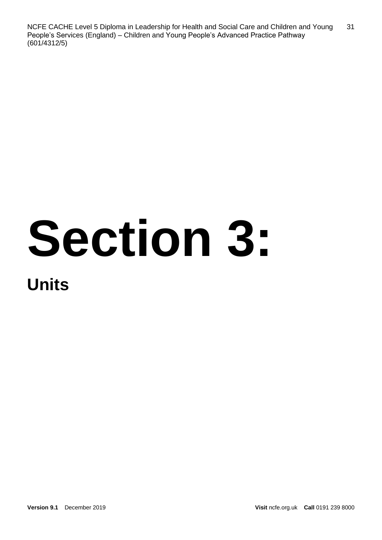NCFE CACHE Level 5 Diploma in Leadership for Health and Social Care and Children and Young 31 People's Services (England) – Children and Young People's Advanced Practice Pathway (601/4312/5)

# **Section 3:**

## **Units**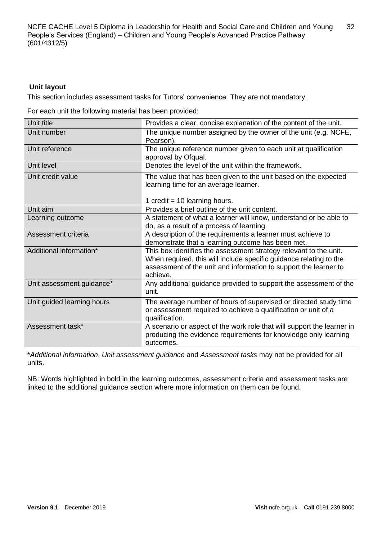## **Unit layout**

This section includes assessment tasks for Tutors' convenience. They are not mandatory.

For each unit the following material has been provided:

| Unit title                 | Provides a clear, concise explanation of the content of the unit.                                                                                                                                                       |
|----------------------------|-------------------------------------------------------------------------------------------------------------------------------------------------------------------------------------------------------------------------|
| Unit number                | The unique number assigned by the owner of the unit (e.g. NCFE,<br>Pearson).                                                                                                                                            |
| Unit reference             | The unique reference number given to each unit at qualification<br>approval by Ofqual.                                                                                                                                  |
| Unit level                 | Denotes the level of the unit within the framework.                                                                                                                                                                     |
| Unit credit value          | The value that has been given to the unit based on the expected<br>learning time for an average learner.<br>1 credit = 10 learning hours.                                                                               |
| Unit aim                   | Provides a brief outline of the unit content.                                                                                                                                                                           |
| Learning outcome           | A statement of what a learner will know, understand or be able to<br>do, as a result of a process of learning.                                                                                                          |
| Assessment criteria        | A description of the requirements a learner must achieve to<br>demonstrate that a learning outcome has been met.                                                                                                        |
| Additional information*    | This box identifies the assessment strategy relevant to the unit.<br>When required, this will include specific guidance relating to the<br>assessment of the unit and information to support the learner to<br>achieve. |
| Unit assessment guidance*  | Any additional guidance provided to support the assessment of the<br>unit.                                                                                                                                              |
| Unit guided learning hours | The average number of hours of supervised or directed study time<br>or assessment required to achieve a qualification or unit of a<br>qualification.                                                                    |
| Assessment task*           | A scenario or aspect of the work role that will support the learner in<br>producing the evidence requirements for knowledge only learning<br>outcomes.                                                                  |

\**Additional information*, *Unit assessment guidance* and *Assessment tasks* may not be provided for all units.

NB: Words highlighted in bold in the learning outcomes, assessment criteria and assessment tasks are linked to the additional guidance section where more information on them can be found.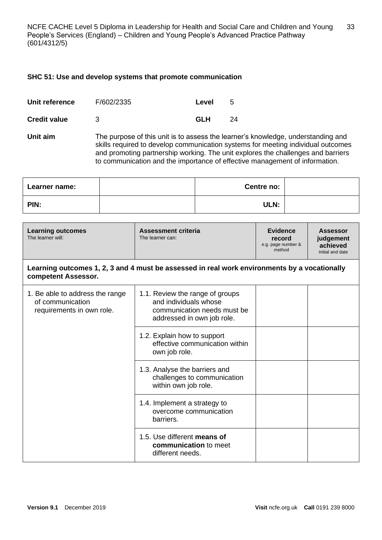## **SHC 51: Use and develop systems that promote communication**

| Unit reference      | F/602/2335 | Level      | -5 |
|---------------------|------------|------------|----|
| <b>Credit value</b> |            | <b>GLH</b> | 24 |

**Unit aim** The purpose of this unit is to assess the learner's knowledge, understanding and skills required to develop communication systems for meeting individual outcomes and promoting partnership working. The unit explores the challenges and barriers to communication and the importance of effective management of information.

| <b>Learner name:</b> | Centre no: |  |
|----------------------|------------|--|
| PIN:                 | ULN:       |  |

| judgement<br>record<br>e.g. page number &<br>achieved<br>method<br>Initial and date | <b>Learning outcomes</b><br>The learner will: | Assessment criteria<br>The learner can: | <b>Evidence</b> | <b>Assessor</b> |
|-------------------------------------------------------------------------------------|-----------------------------------------------|-----------------------------------------|-----------------|-----------------|
|-------------------------------------------------------------------------------------|-----------------------------------------------|-----------------------------------------|-----------------|-----------------|

## **Learning outcomes 1, 2, 3 and 4 must be assessed in real work environments by a vocationally competent Assessor.**

| 1. Be able to address the range<br>of communication<br>requirements in own role. | 1.1. Review the range of groups<br>and individuals whose<br>communication needs must be<br>addressed in own job role. |  |
|----------------------------------------------------------------------------------|-----------------------------------------------------------------------------------------------------------------------|--|
|                                                                                  | 1.2. Explain how to support<br>effective communication within<br>own job role.                                        |  |
|                                                                                  | 1.3. Analyse the barriers and<br>challenges to communication<br>within own job role.                                  |  |
|                                                                                  | 1.4. Implement a strategy to<br>overcome communication<br>barriers.                                                   |  |
|                                                                                  | 1.5. Use different means of<br>communication to meet<br>different needs.                                              |  |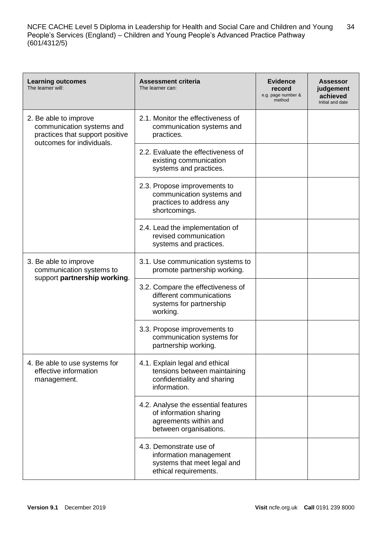NCFE CACHE Level 5 Diploma in Leadership for Health and Social Care and Children and Young 34 People's Services (England) – Children and Young People's Advanced Practice Pathway (601/4312/5)

| <b>Learning outcomes</b><br>The learner will:                                                                      | <b>Assessment criteria</b><br>The learner can:                                                                   | <b>Evidence</b><br>record<br>e.g. page number &<br>method | <b>Assessor</b><br>judgement<br>achieved<br>Initial and date |
|--------------------------------------------------------------------------------------------------------------------|------------------------------------------------------------------------------------------------------------------|-----------------------------------------------------------|--------------------------------------------------------------|
| 2. Be able to improve<br>communication systems and<br>practices that support positive<br>outcomes for individuals. | 2.1. Monitor the effectiveness of<br>communication systems and<br>practices.                                     |                                                           |                                                              |
|                                                                                                                    | 2.2. Evaluate the effectiveness of<br>existing communication<br>systems and practices.                           |                                                           |                                                              |
|                                                                                                                    | 2.3. Propose improvements to<br>communication systems and<br>practices to address any<br>shortcomings.           |                                                           |                                                              |
|                                                                                                                    | 2.4. Lead the implementation of<br>revised communication<br>systems and practices.                               |                                                           |                                                              |
| 3. Be able to improve<br>communication systems to<br>support partnership working.                                  | 3.1. Use communication systems to<br>promote partnership working.                                                |                                                           |                                                              |
|                                                                                                                    | 3.2. Compare the effectiveness of<br>different communications<br>systems for partnership<br>working.             |                                                           |                                                              |
|                                                                                                                    | 3.3. Propose improvements to<br>communication systems for<br>partnership working.                                |                                                           |                                                              |
| 4. Be able to use systems for<br>effective information<br>management.                                              | 4.1. Explain legal and ethical<br>tensions between maintaining<br>confidentiality and sharing<br>information.    |                                                           |                                                              |
|                                                                                                                    | 4.2. Analyse the essential features<br>of information sharing<br>agreements within and<br>between organisations. |                                                           |                                                              |
|                                                                                                                    | 4.3. Demonstrate use of<br>information management<br>systems that meet legal and<br>ethical requirements.        |                                                           |                                                              |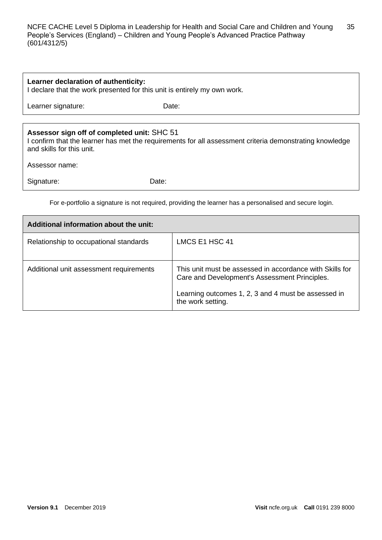NCFE CACHE Level 5 Diploma in Leadership for Health and Social Care and Children and Young 35 People's Services (England) – Children and Young People's Advanced Practice Pathway (601/4312/5)

## **Learner declaration of authenticity:**

I declare that the work presented for this unit is entirely my own work.

Learner signature: Date:

| Assessor sign off of completed unit: SHC 51<br>I confirm that the learner has met the requirements for all assessment criteria demonstrating knowledge<br>and skills for this unit. |       |  |
|-------------------------------------------------------------------------------------------------------------------------------------------------------------------------------------|-------|--|
| Assessor name:                                                                                                                                                                      |       |  |
| Signature:                                                                                                                                                                          | Date: |  |

For e-portfolio a signature is not required, providing the learner has a personalised and secure login.

| Additional information about the unit:  |                                                                                                                                                                                       |
|-----------------------------------------|---------------------------------------------------------------------------------------------------------------------------------------------------------------------------------------|
| Relationship to occupational standards  | LMCS E1 HSC 41                                                                                                                                                                        |
| Additional unit assessment requirements | This unit must be assessed in accordance with Skills for<br>Care and Development's Assessment Principles.<br>Learning outcomes 1, 2, 3 and 4 must be assessed in<br>the work setting. |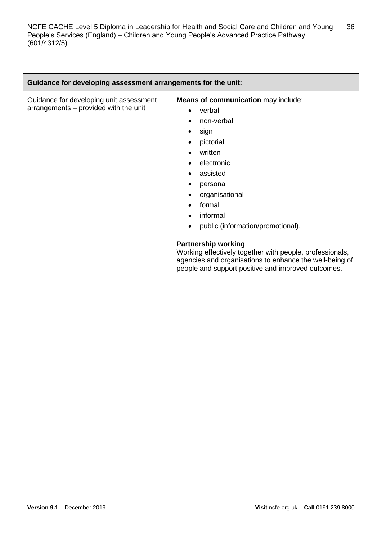| Guidance for developing assessment arrangements for the unit:                    |                                                                                                                                                                                                                                                                                                                                                                                                                                                             |  |
|----------------------------------------------------------------------------------|-------------------------------------------------------------------------------------------------------------------------------------------------------------------------------------------------------------------------------------------------------------------------------------------------------------------------------------------------------------------------------------------------------------------------------------------------------------|--|
| Guidance for developing unit assessment<br>arrangements - provided with the unit | <b>Means of communication</b> may include:<br>verbal<br>$\bullet$<br>non-verbal<br>sign<br>$\bullet$<br>pictorial<br>written<br>electronic<br>assisted<br>personal<br>organisational<br>formal<br>informal<br>public (information/promotional).<br><b>Partnership working:</b><br>Working effectively together with people, professionals,<br>agencies and organisations to enhance the well-being of<br>people and support positive and improved outcomes. |  |

۰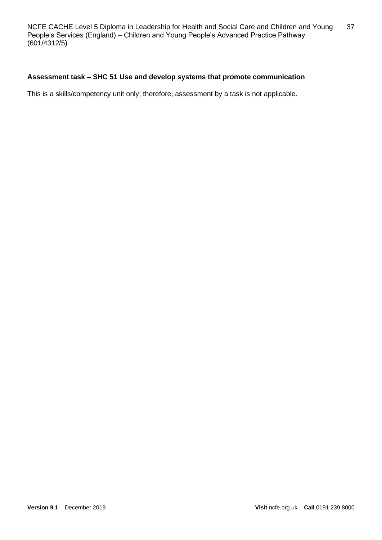NCFE CACHE Level 5 Diploma in Leadership for Health and Social Care and Children and Young 37 People's Services (England) – Children and Young People's Advanced Practice Pathway (601/4312/5)

## **Assessment task – SHC 51 Use and develop systems that promote communication**

This is a skills/competency unit only; therefore, assessment by a task is not applicable.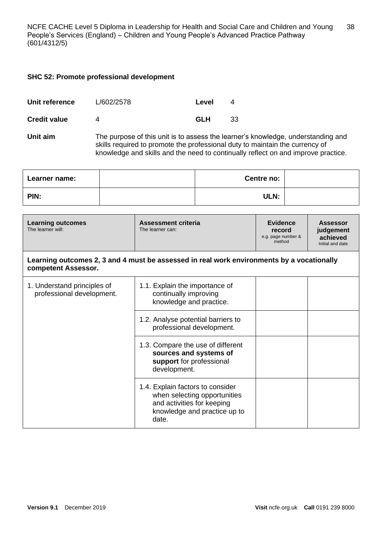NCFE CACHE Level 5 Diploma in Leadership for Health and Social Care and Children and Young 38 People's Services (England) – Children and Young People's Advanced Practice Pathway (601/4312/5)

#### **SHC 52: Promote professional development**

| Unit reference      | L/602/2578 | Level      |    |
|---------------------|------------|------------|----|
| <b>Credit value</b> |            | <b>GLH</b> | 33 |

**Unit aim** The purpose of this unit is to assess the learner's knowledge, understanding and skills required to promote the professional duty to maintain the currency of knowledge and skills and the need to continually reflect on and improve practice.

| Learner name: | Centre no: |  |
|---------------|------------|--|
| PIN:          | ULN:       |  |

| <b>Learning outcomes</b><br>The learner will:            | <b>Assessment criteria</b><br>The learner can:                                                                                          | Evidence<br>record<br>e.g. page number &<br>method | <b>Assessor</b><br>judgement<br>achieved<br>Initial and date |
|----------------------------------------------------------|-----------------------------------------------------------------------------------------------------------------------------------------|----------------------------------------------------|--------------------------------------------------------------|
| competent Assessor.                                      | Learning outcomes 2, 3 and 4 must be assessed in real work environments by a vocationally                                               |                                                    |                                                              |
| 1. Understand principles of<br>professional development. | 1.1. Explain the importance of<br>continually improving<br>knowledge and practice.                                                      |                                                    |                                                              |
|                                                          | 1.2. Analyse potential barriers to<br>professional development.                                                                         |                                                    |                                                              |
|                                                          | 1.3. Compare the use of different<br>sources and systems of<br>support for professional<br>development.                                 |                                                    |                                                              |
|                                                          | 1.4. Explain factors to consider<br>when selecting opportunities<br>and activities for keeping<br>knowledge and practice up to<br>date. |                                                    |                                                              |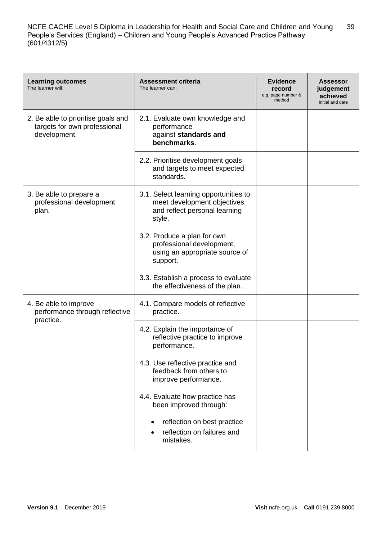NCFE CACHE Level 5 Diploma in Leadership for Health and Social Care and Children and Young 39 People's Services (England) – Children and Young People's Advanced Practice Pathway (601/4312/5)

| <b>Learning outcomes</b><br>The learner will:                                      | <b>Assessment criteria</b><br>The learner can:                                                                  | <b>Evidence</b><br>record<br>e.g. page number &<br>method | <b>Assessor</b><br>judgement<br>achieved<br>Initial and date |
|------------------------------------------------------------------------------------|-----------------------------------------------------------------------------------------------------------------|-----------------------------------------------------------|--------------------------------------------------------------|
| 2. Be able to prioritise goals and<br>targets for own professional<br>development. | 2.1. Evaluate own knowledge and<br>performance<br>against standards and<br>benchmarks.                          |                                                           |                                                              |
|                                                                                    | 2.2. Prioritise development goals<br>and targets to meet expected<br>standards.                                 |                                                           |                                                              |
| 3. Be able to prepare a<br>professional development<br>plan.                       | 3.1. Select learning opportunities to<br>meet development objectives<br>and reflect personal learning<br>style. |                                                           |                                                              |
|                                                                                    | 3.2. Produce a plan for own<br>professional development,<br>using an appropriate source of<br>support.          |                                                           |                                                              |
|                                                                                    | 3.3. Establish a process to evaluate<br>the effectiveness of the plan.                                          |                                                           |                                                              |
| 4. Be able to improve<br>performance through reflective                            | 4.1. Compare models of reflective<br>practice.                                                                  |                                                           |                                                              |
| practice.                                                                          | 4.2. Explain the importance of<br>reflective practice to improve<br>performance.                                |                                                           |                                                              |
|                                                                                    | 4.3. Use reflective practice and<br>feedback from others to<br>improve performance.                             |                                                           |                                                              |
|                                                                                    | 4.4. Evaluate how practice has<br>been improved through:                                                        |                                                           |                                                              |
|                                                                                    | reflection on best practice<br>reflection on failures and<br>mistakes.                                          |                                                           |                                                              |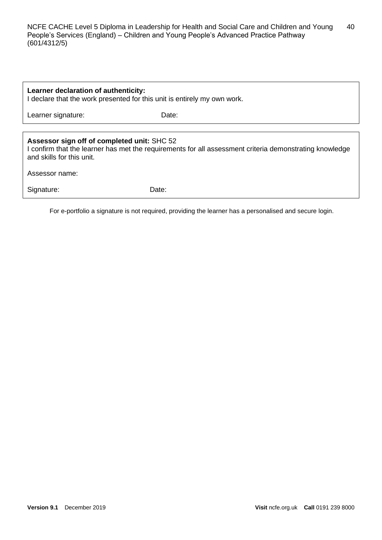NCFE CACHE Level 5 Diploma in Leadership for Health and Social Care and Children and Young 40 People's Services (England) – Children and Young People's Advanced Practice Pathway (601/4312/5)

| Learner declaration of authenticity:<br>I declare that the work presented for this unit is entirely my own work. |                                                                                                         |  |  |
|------------------------------------------------------------------------------------------------------------------|---------------------------------------------------------------------------------------------------------|--|--|
| Learner signature:                                                                                               | Date:                                                                                                   |  |  |
|                                                                                                                  |                                                                                                         |  |  |
| Assessor sign off of completed unit: SHC 52<br>and skills for this unit.                                         | I confirm that the learner has met the requirements for all assessment criteria demonstrating knowledge |  |  |
| Assessor name:                                                                                                   |                                                                                                         |  |  |
| Signature:                                                                                                       | Date:                                                                                                   |  |  |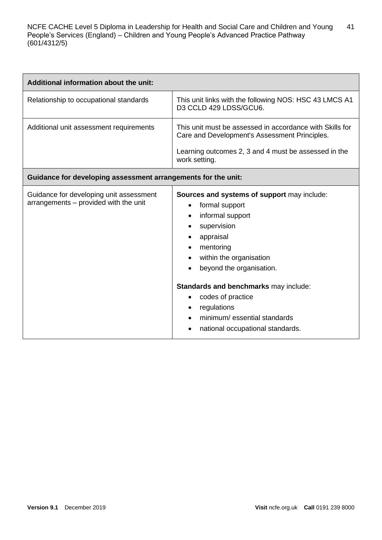| Additional information about the unit:                                           |                                                                                                                                                                                                          |  |
|----------------------------------------------------------------------------------|----------------------------------------------------------------------------------------------------------------------------------------------------------------------------------------------------------|--|
| Relationship to occupational standards                                           | This unit links with the following NOS: HSC 43 LMCS A1<br>D3 CCLD 429 LDSS/GCU6.                                                                                                                         |  |
| Additional unit assessment requirements                                          | This unit must be assessed in accordance with Skills for<br>Care and Development's Assessment Principles.                                                                                                |  |
|                                                                                  | Learning outcomes 2, 3 and 4 must be assessed in the<br>work setting.                                                                                                                                    |  |
| Guidance for developing assessment arrangements for the unit:                    |                                                                                                                                                                                                          |  |
| Guidance for developing unit assessment<br>arrangements - provided with the unit | Sources and systems of support may include:<br>formal support<br>$\bullet$<br>informal support<br>٠<br>supervision<br>appraisal<br>mentoring<br>٠<br>within the organisation<br>beyond the organisation. |  |
|                                                                                  | Standards and benchmarks may include:                                                                                                                                                                    |  |
|                                                                                  | codes of practice<br>$\bullet$<br>regulations<br>minimum/essential standards<br>national occupational standards.                                                                                         |  |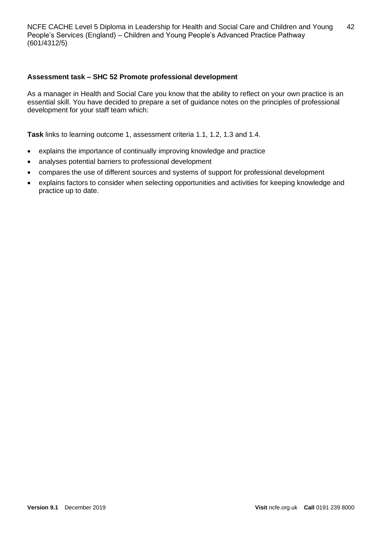NCFE CACHE Level 5 Diploma in Leadership for Health and Social Care and Children and Young 42 People's Services (England) – Children and Young People's Advanced Practice Pathway (601/4312/5)

## **Assessment task – SHC 52 Promote professional development**

As a manager in Health and Social Care you know that the ability to reflect on your own practice is an essential skill. You have decided to prepare a set of guidance notes on the principles of professional development for your staff team which:

**Task** links to learning outcome 1, assessment criteria 1.1, 1.2, 1.3 and 1.4.

- explains the importance of continually improving knowledge and practice
- analyses potential barriers to professional development
- compares the use of different sources and systems of support for professional development
- explains factors to consider when selecting opportunities and activities for keeping knowledge and practice up to date.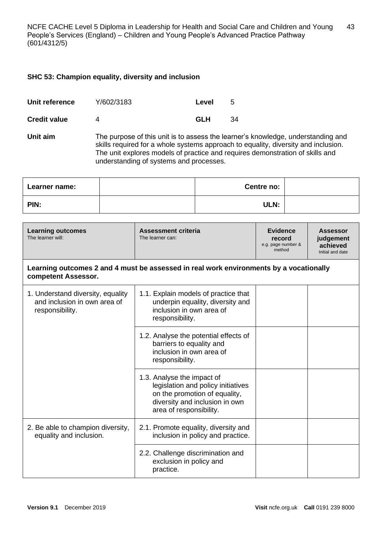NCFE CACHE Level 5 Diploma in Leadership for Health and Social Care and Children and Young 43 People's Services (England) – Children and Young People's Advanced Practice Pathway (601/4312/5)

### **SHC 53: Champion equality, diversity and inclusion**

| Unit reference      | Y/602/3183 | Level      | -5 |
|---------------------|------------|------------|----|
| <b>Credit value</b> |            | <b>GLH</b> | 34 |

**Unit aim** The purpose of this unit is to assess the learner's knowledge, understanding and skills required for a whole systems approach to equality, diversity and inclusion. The unit explores models of practice and requires demonstration of skills and understanding of systems and processes.

| Learner name: | Centre no: |  |
|---------------|------------|--|
| PIN:          | ULN:       |  |

| <b>Learning outcomes</b><br>The learner will:                                        | <b>Assessment criteria</b><br>The learner can:                                                                                                                 | <b>Evidence</b><br>record<br>e.g. page number &<br>method | Assessor<br>judgement<br>achieved<br>Initial and date |
|--------------------------------------------------------------------------------------|----------------------------------------------------------------------------------------------------------------------------------------------------------------|-----------------------------------------------------------|-------------------------------------------------------|
| competent Assessor.                                                                  | Learning outcomes 2 and 4 must be assessed in real work environments by a vocationally                                                                         |                                                           |                                                       |
| 1. Understand diversity, equality<br>and inclusion in own area of<br>responsibility. | 1.1. Explain models of practice that<br>underpin equality, diversity and<br>inclusion in own area of<br>responsibility.                                        |                                                           |                                                       |
|                                                                                      | 1.2. Analyse the potential effects of<br>barriers to equality and<br>inclusion in own area of<br>responsibility.                                               |                                                           |                                                       |
|                                                                                      | 1.3. Analyse the impact of<br>legislation and policy initiatives<br>on the promotion of equality,<br>diversity and inclusion in own<br>area of responsibility. |                                                           |                                                       |
| 2. Be able to champion diversity,<br>equality and inclusion.                         | 2.1. Promote equality, diversity and<br>inclusion in policy and practice.                                                                                      |                                                           |                                                       |
|                                                                                      | 2.2. Challenge discrimination and<br>exclusion in policy and<br>practice.                                                                                      |                                                           |                                                       |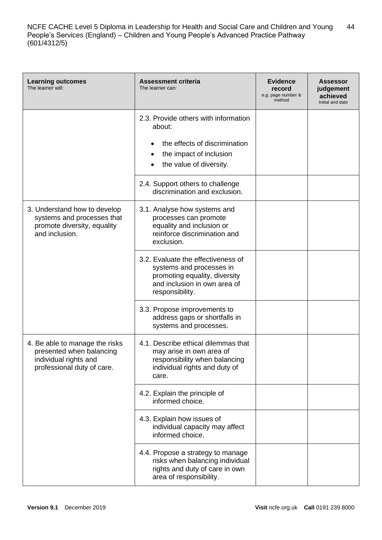| <b>Learning outcomes</b><br>The learner will:                                                                     | <b>Assessment criteria</b><br>The learner can:                                                                                                     | <b>Evidence</b><br>record<br>e.g. page number &<br>method | <b>Assessor</b><br>judgement<br>achieved<br>Initial and date |
|-------------------------------------------------------------------------------------------------------------------|----------------------------------------------------------------------------------------------------------------------------------------------------|-----------------------------------------------------------|--------------------------------------------------------------|
|                                                                                                                   | 2.3. Provide others with information<br>about:<br>the effects of discrimination<br>the impact of inclusion<br>the value of diversity.              |                                                           |                                                              |
|                                                                                                                   | 2.4. Support others to challenge<br>discrimination and exclusion.                                                                                  |                                                           |                                                              |
| 3. Understand how to develop<br>systems and processes that<br>promote diversity, equality<br>and inclusion.       | 3.1. Analyse how systems and<br>processes can promote<br>equality and inclusion or<br>reinforce discrimination and<br>exclusion.                   |                                                           |                                                              |
|                                                                                                                   | 3.2. Evaluate the effectiveness of<br>systems and processes in<br>promoting equality, diversity<br>and inclusion in own area of<br>responsibility. |                                                           |                                                              |
|                                                                                                                   | 3.3. Propose improvements to<br>address gaps or shortfalls in<br>systems and processes.                                                            |                                                           |                                                              |
| 4. Be able to manage the risks<br>presented when balancing<br>individual rights and<br>professional duty of care. | 4.1. Describe ethical dilemmas that<br>may arise in own area of<br>responsibility when balancing<br>individual rights and duty of<br>care.         |                                                           |                                                              |
|                                                                                                                   | 4.2. Explain the principle of<br>informed choice.                                                                                                  |                                                           |                                                              |
|                                                                                                                   | 4.3. Explain how issues of<br>individual capacity may affect<br>informed choice.                                                                   |                                                           |                                                              |
|                                                                                                                   | 4.4. Propose a strategy to manage<br>risks when balancing individual<br>rights and duty of care in own<br>area of responsibility.                  |                                                           |                                                              |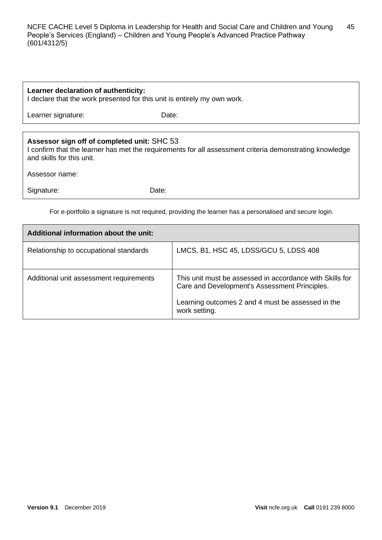NCFE CACHE Level 5 Diploma in Leadership for Health and Social Care and Children and Young 45 People's Services (England) – Children and Young People's Advanced Practice Pathway (601/4312/5)

### **Learner declaration of authenticity:**

I declare that the work presented for this unit is entirely my own work.

Learner signature: Date:

## **Assessor sign off of completed unit:** SHC 53

I confirm that the learner has met the requirements for all assessment criteria demonstrating knowledge and skills for this unit.

Assessor name:

Signature: Date:

| Additional information about the unit:  |                                                                                                                                                                                 |
|-----------------------------------------|---------------------------------------------------------------------------------------------------------------------------------------------------------------------------------|
| Relationship to occupational standards  | LMCS, B1, HSC 45, LDSS/GCU 5, LDSS 408                                                                                                                                          |
| Additional unit assessment requirements | This unit must be assessed in accordance with Skills for<br>Care and Development's Assessment Principles.<br>Learning outcomes 2 and 4 must be assessed in the<br>work setting. |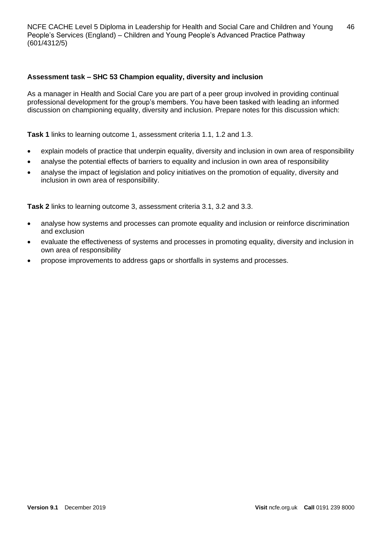NCFE CACHE Level 5 Diploma in Leadership for Health and Social Care and Children and Young 46 People's Services (England) – Children and Young People's Advanced Practice Pathway (601/4312/5)

## **Assessment task – SHC 53 Champion equality, diversity and inclusion**

As a manager in Health and Social Care you are part of a peer group involved in providing continual professional development for the group's members. You have been tasked with leading an informed discussion on championing equality, diversity and inclusion. Prepare notes for this discussion which:

**Task 1** links to learning outcome 1, assessment criteria 1.1, 1.2 and 1.3.

- explain models of practice that underpin equality, diversity and inclusion in own area of responsibility
- analyse the potential effects of barriers to equality and inclusion in own area of responsibility
- analyse the impact of legislation and policy initiatives on the promotion of equality, diversity and inclusion in own area of responsibility.

**Task 2** links to learning outcome 3, assessment criteria 3.1, 3.2 and 3.3.

- analyse how systems and processes can promote equality and inclusion or reinforce discrimination and exclusion
- evaluate the effectiveness of systems and processes in promoting equality, diversity and inclusion in own area of responsibility
- propose improvements to address gaps or shortfalls in systems and processes.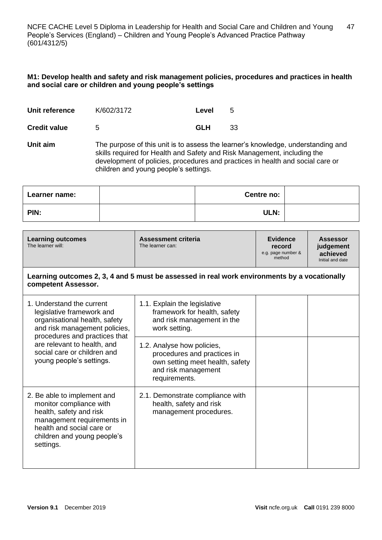NCFE CACHE Level 5 Diploma in Leadership for Health and Social Care and Children and Young 47 People's Services (England) – Children and Young People's Advanced Practice Pathway (601/4312/5)

## **M1: Develop health and safety and risk management policies, procedures and practices in health and social care or children and young people's settings**

| Unit reference      | K/602/3172 | Level      | $\overline{5}$ |
|---------------------|------------|------------|----------------|
| <b>Credit value</b> | 5          | <b>GLH</b> | -33            |

**Unit aim** The purpose of this unit is to assess the learner's knowledge, understanding and skills required for Health and Safety and Risk Management, including the development of policies, procedures and practices in health and social care or children and young people's settings.

| Learner name: | Centre no: |  |
|---------------|------------|--|
| PIN:          | ULN:       |  |

| <b>Learning outcomes</b><br>The learner will:                                                                                                                                                                                                       | <b>Assessment criteria</b><br>The learner can:                                                                                       | <b>Evidence</b><br>record<br>e.g. page number &<br>method | <b>Assessor</b><br>judgement<br>achieved<br>Initial and date |
|-----------------------------------------------------------------------------------------------------------------------------------------------------------------------------------------------------------------------------------------------------|--------------------------------------------------------------------------------------------------------------------------------------|-----------------------------------------------------------|--------------------------------------------------------------|
| competent Assessor.                                                                                                                                                                                                                                 | Learning outcomes 2, 3, 4 and 5 must be assessed in real work environments by a vocationally                                         |                                                           |                                                              |
| 1. Understand the current<br>legislative framework and<br>organisational health, safety<br>and risk management policies,<br>procedures and practices that<br>are relevant to health, and<br>social care or children and<br>young people's settings. | 1.1. Explain the legislative<br>framework for health, safety<br>and risk management in the<br>work setting.                          |                                                           |                                                              |
|                                                                                                                                                                                                                                                     | 1.2. Analyse how policies,<br>procedures and practices in<br>own setting meet health, safety<br>and risk management<br>requirements. |                                                           |                                                              |
| 2. Be able to implement and<br>monitor compliance with<br>health, safety and risk<br>management requirements in<br>health and social care or<br>children and young people's<br>settings.                                                            | 2.1. Demonstrate compliance with<br>health, safety and risk<br>management procedures.                                                |                                                           |                                                              |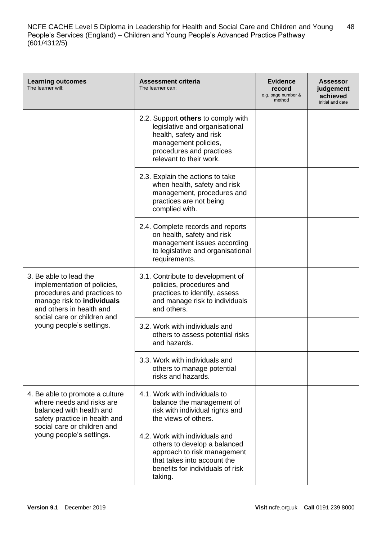NCFE CACHE Level 5 Diploma in Leadership for Health and Social Care and Children and Young 48 People's Services (England) – Children and Young People's Advanced Practice Pathway (601/4312/5)

| <b>Learning outcomes</b><br>The learner will:                                                                                                                                                             | <b>Assessment criteria</b><br>The learner can:                                                                                                                                 | <b>Evidence</b><br>record<br>e.g. page number &<br>method | <b>Assessor</b><br>judgement<br>achieved<br>Initial and date |
|-----------------------------------------------------------------------------------------------------------------------------------------------------------------------------------------------------------|--------------------------------------------------------------------------------------------------------------------------------------------------------------------------------|-----------------------------------------------------------|--------------------------------------------------------------|
|                                                                                                                                                                                                           | 2.2. Support others to comply with<br>legislative and organisational<br>health, safety and risk<br>management policies,<br>procedures and practices<br>relevant to their work. |                                                           |                                                              |
|                                                                                                                                                                                                           | 2.3. Explain the actions to take<br>when health, safety and risk<br>management, procedures and<br>practices are not being<br>complied with.                                    |                                                           |                                                              |
|                                                                                                                                                                                                           | 2.4. Complete records and reports<br>on health, safety and risk<br>management issues according<br>to legislative and organisational<br>requirements.                           |                                                           |                                                              |
| 3. Be able to lead the<br>implementation of policies,<br>procedures and practices to<br>manage risk to individuals<br>and others in health and<br>social care or children and<br>young people's settings. | 3.1. Contribute to development of<br>policies, procedures and<br>practices to identify, assess<br>and manage risk to individuals<br>and others.                                |                                                           |                                                              |
|                                                                                                                                                                                                           | 3.2. Work with individuals and<br>others to assess potential risks<br>and hazards.                                                                                             |                                                           |                                                              |
|                                                                                                                                                                                                           | 3.3. Work with individuals and<br>others to manage potential<br>risks and hazards.                                                                                             |                                                           |                                                              |
| 4. Be able to promote a culture<br>where needs and risks are<br>balanced with health and<br>safety practice in health and<br>social care or children and                                                  | 4.1. Work with individuals to<br>balance the management of<br>risk with individual rights and<br>the views of others.                                                          |                                                           |                                                              |
| young people's settings.                                                                                                                                                                                  | 4.2. Work with individuals and<br>others to develop a balanced<br>approach to risk management<br>that takes into account the<br>benefits for individuals of risk<br>taking.    |                                                           |                                                              |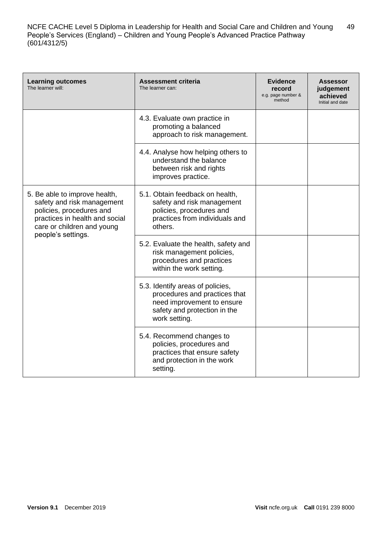NCFE CACHE Level 5 Diploma in Leadership for Health and Social Care and Children and Young 49 People's Services (England) – Children and Young People's Advanced Practice Pathway (601/4312/5)

| <b>Learning outcomes</b><br>The learner will:                                                                                                                                 | Assessment criteria<br>The learner can:                                                                                                          | <b>Evidence</b><br>record<br>e.g. page number &<br>method | <b>Assessor</b><br>judgement<br>achieved<br>Initial and date |
|-------------------------------------------------------------------------------------------------------------------------------------------------------------------------------|--------------------------------------------------------------------------------------------------------------------------------------------------|-----------------------------------------------------------|--------------------------------------------------------------|
|                                                                                                                                                                               | 4.3. Evaluate own practice in<br>promoting a balanced<br>approach to risk management.                                                            |                                                           |                                                              |
|                                                                                                                                                                               | 4.4. Analyse how helping others to<br>understand the balance<br>between risk and rights<br>improves practice.                                    |                                                           |                                                              |
| 5. Be able to improve health,<br>safety and risk management<br>policies, procedures and<br>practices in health and social<br>care or children and young<br>people's settings. | 5.1. Obtain feedback on health,<br>safety and risk management<br>policies, procedures and<br>practices from individuals and<br>others.           |                                                           |                                                              |
|                                                                                                                                                                               | 5.2. Evaluate the health, safety and<br>risk management policies,<br>procedures and practices<br>within the work setting.                        |                                                           |                                                              |
|                                                                                                                                                                               | 5.3. Identify areas of policies,<br>procedures and practices that<br>need improvement to ensure<br>safety and protection in the<br>work setting. |                                                           |                                                              |
|                                                                                                                                                                               | 5.4. Recommend changes to<br>policies, procedures and<br>practices that ensure safety<br>and protection in the work<br>setting.                  |                                                           |                                                              |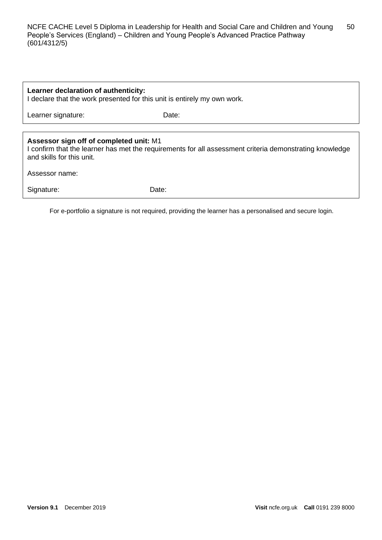NCFE CACHE Level 5 Diploma in Leadership for Health and Social Care and Children and Young 50 People's Services (England) – Children and Young People's Advanced Practice Pathway (601/4312/5)

| Learner declaration of authenticity:<br>I declare that the work presented for this unit is entirely my own work.                                                                |       |  |
|---------------------------------------------------------------------------------------------------------------------------------------------------------------------------------|-------|--|
| Learner signature:                                                                                                                                                              | Date: |  |
|                                                                                                                                                                                 |       |  |
| Assessor sign off of completed unit: M1<br>I confirm that the learner has met the requirements for all assessment criteria demonstrating knowledge<br>and skills for this unit. |       |  |
| Assessor name:                                                                                                                                                                  |       |  |
| Signature:                                                                                                                                                                      | Date: |  |
|                                                                                                                                                                                 |       |  |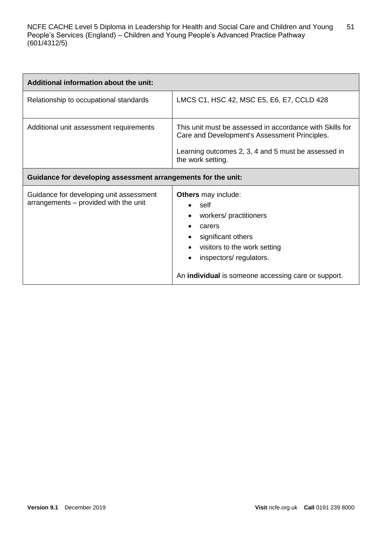| Additional information about the unit:                                           |                                                                                                                                                                                                                                  |  |
|----------------------------------------------------------------------------------|----------------------------------------------------------------------------------------------------------------------------------------------------------------------------------------------------------------------------------|--|
| Relationship to occupational standards                                           | LMCS C1, HSC 42, MSC E5, E6, E7, CCLD 428                                                                                                                                                                                        |  |
| Additional unit assessment requirements                                          | This unit must be assessed in accordance with Skills for<br>Care and Development's Assessment Principles.<br>Learning outcomes 2, 3, 4 and 5 must be assessed in<br>the work setting.                                            |  |
| Guidance for developing assessment arrangements for the unit:                    |                                                                                                                                                                                                                                  |  |
| Guidance for developing unit assessment<br>arrangements - provided with the unit | <b>Others</b> may include:<br>self<br>$\bullet$<br>workers/practitioners<br>carers<br>significant others<br>visitors to the work setting<br>inspectors/regulators.<br>An <b>individual</b> is someone accessing care or support. |  |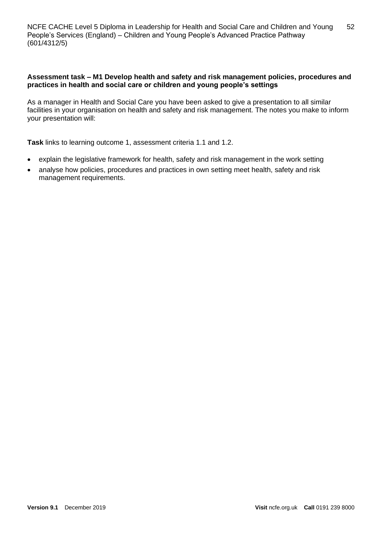NCFE CACHE Level 5 Diploma in Leadership for Health and Social Care and Children and Young 52 People's Services (England) – Children and Young People's Advanced Practice Pathway (601/4312/5)

## **Assessment task – M1 Develop health and safety and risk management policies, procedures and practices in health and social care or children and young people's settings**

As a manager in Health and Social Care you have been asked to give a presentation to all similar facilities in your organisation on health and safety and risk management. The notes you make to inform your presentation will:

**Task** links to learning outcome 1, assessment criteria 1.1 and 1.2.

- explain the legislative framework for health, safety and risk management in the work setting
- analyse how policies, procedures and practices in own setting meet health, safety and risk management requirements.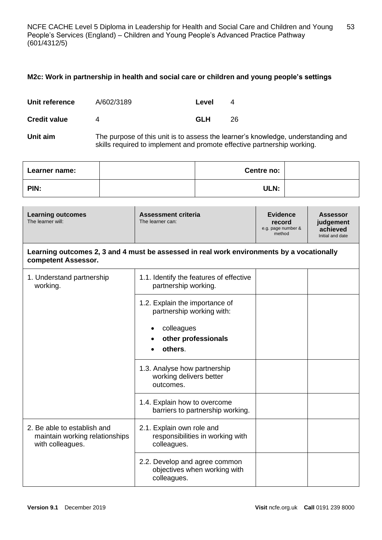## **M2c: Work in partnership in health and social care or children and young people's settings**

| Unit reference      | A/602/3189 | Level      |     |
|---------------------|------------|------------|-----|
| <b>Credit value</b> |            | <b>GLH</b> | 26. |

**Unit aim** The purpose of this unit is to assess the learner's knowledge, understanding and skills required to implement and promote effective partnership working.

| <b>Learner name:</b> | Centre no: |  |
|----------------------|------------|--|
| PIN:                 | ULN:       |  |

| <b>Learning outcomes</b><br>The learner will:                                     | Assessment criteria<br>The learner can:                                                   | Evidence<br>record<br>e.g. page number &<br>method | <b>Assessor</b><br>judgement<br>achieved<br>Initial and date |
|-----------------------------------------------------------------------------------|-------------------------------------------------------------------------------------------|----------------------------------------------------|--------------------------------------------------------------|
| competent Assessor.                                                               | Learning outcomes 2, 3 and 4 must be assessed in real work environments by a vocationally |                                                    |                                                              |
| 1. Understand partnership<br>working.                                             | 1.1. Identify the features of effective<br>partnership working.                           |                                                    |                                                              |
|                                                                                   | 1.2. Explain the importance of<br>partnership working with:                               |                                                    |                                                              |
|                                                                                   | colleagues                                                                                |                                                    |                                                              |
|                                                                                   | other professionals                                                                       |                                                    |                                                              |
|                                                                                   | others.                                                                                   |                                                    |                                                              |
|                                                                                   | 1.3. Analyse how partnership<br>working delivers better<br>outcomes.                      |                                                    |                                                              |
|                                                                                   | 1.4. Explain how to overcome<br>barriers to partnership working.                          |                                                    |                                                              |
| 2. Be able to establish and<br>maintain working relationships<br>with colleagues. | 2.1. Explain own role and<br>responsibilities in working with<br>colleagues.              |                                                    |                                                              |
|                                                                                   | 2.2. Develop and agree common<br>objectives when working with<br>colleagues.              |                                                    |                                                              |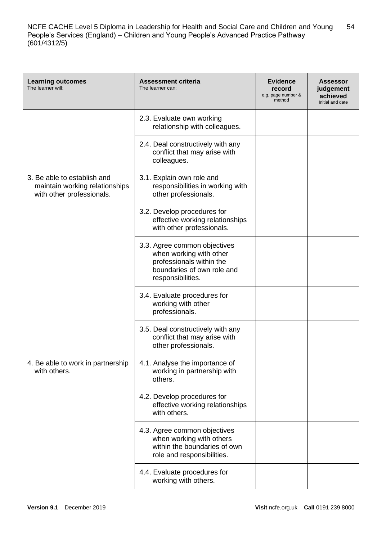NCFE CACHE Level 5 Diploma in Leadership for Health and Social Care and Children and Young 54 People's Services (England) – Children and Young People's Advanced Practice Pathway (601/4312/5)

| <b>Learning outcomes</b><br>The learner will:                                              | <b>Assessment criteria</b><br>The learner can:                                                                                         | <b>Evidence</b><br>record<br>e.g. page number &<br>method | <b>Assessor</b><br>judgement<br>achieved<br>Initial and date |
|--------------------------------------------------------------------------------------------|----------------------------------------------------------------------------------------------------------------------------------------|-----------------------------------------------------------|--------------------------------------------------------------|
|                                                                                            | 2.3. Evaluate own working<br>relationship with colleagues.                                                                             |                                                           |                                                              |
|                                                                                            | 2.4. Deal constructively with any<br>conflict that may arise with<br>colleagues.                                                       |                                                           |                                                              |
| 3. Be able to establish and<br>maintain working relationships<br>with other professionals. | 3.1. Explain own role and<br>responsibilities in working with<br>other professionals.                                                  |                                                           |                                                              |
|                                                                                            | 3.2. Develop procedures for<br>effective working relationships<br>with other professionals.                                            |                                                           |                                                              |
|                                                                                            | 3.3. Agree common objectives<br>when working with other<br>professionals within the<br>boundaries of own role and<br>responsibilities. |                                                           |                                                              |
|                                                                                            | 3.4. Evaluate procedures for<br>working with other<br>professionals.                                                                   |                                                           |                                                              |
|                                                                                            | 3.5. Deal constructively with any<br>conflict that may arise with<br>other professionals.                                              |                                                           |                                                              |
| 4. Be able to work in partnership<br>with others.                                          | 4.1. Analyse the importance of<br>working in partnership with<br>others.                                                               |                                                           |                                                              |
|                                                                                            | 4.2. Develop procedures for<br>effective working relationships<br>with others.                                                         |                                                           |                                                              |
|                                                                                            | 4.3. Agree common objectives<br>when working with others<br>within the boundaries of own<br>role and responsibilities.                 |                                                           |                                                              |
|                                                                                            | 4.4. Evaluate procedures for<br>working with others.                                                                                   |                                                           |                                                              |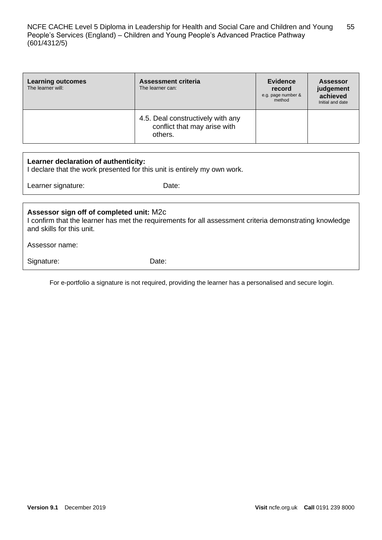NCFE CACHE Level 5 Diploma in Leadership for Health and Social Care and Children and Young 55 People's Services (England) – Children and Young People's Advanced Practice Pathway (601/4312/5)

| <b>Learning outcomes</b><br>The learner will: | <b>Assessment criteria</b><br>The learner can:                               | <b>Evidence</b><br>record<br>e.g. page number &<br>method | <b>Assessor</b><br>judgement<br>achieved<br>Initial and date |
|-----------------------------------------------|------------------------------------------------------------------------------|-----------------------------------------------------------|--------------------------------------------------------------|
|                                               | 4.5. Deal constructively with any<br>conflict that may arise with<br>others. |                                                           |                                                              |

| Learner declaration of authenticity:<br>I declare that the work presented for this unit is entirely my own work.                                                                 |       |  |
|----------------------------------------------------------------------------------------------------------------------------------------------------------------------------------|-------|--|
| Learner signature:                                                                                                                                                               | Date: |  |
|                                                                                                                                                                                  |       |  |
| Assessor sign off of completed unit: M2c<br>I confirm that the learner has met the requirements for all assessment criteria demonstrating knowledge<br>and skills for this unit. |       |  |
| Assessor name:                                                                                                                                                                   |       |  |
| Signature:                                                                                                                                                                       | Date: |  |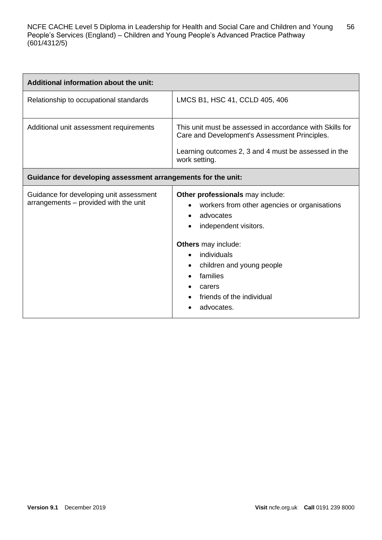| Additional information about the unit:                                           |                                                                                                                                                                                                                                                                   |  |  |
|----------------------------------------------------------------------------------|-------------------------------------------------------------------------------------------------------------------------------------------------------------------------------------------------------------------------------------------------------------------|--|--|
| Relationship to occupational standards                                           | LMCS B1, HSC 41, CCLD 405, 406                                                                                                                                                                                                                                    |  |  |
| Additional unit assessment requirements                                          | This unit must be assessed in accordance with Skills for<br>Care and Development's Assessment Principles.                                                                                                                                                         |  |  |
|                                                                                  | Learning outcomes 2, 3 and 4 must be assessed in the<br>work setting.                                                                                                                                                                                             |  |  |
| Guidance for developing assessment arrangements for the unit:                    |                                                                                                                                                                                                                                                                   |  |  |
| Guidance for developing unit assessment<br>arrangements - provided with the unit | Other professionals may include:<br>workers from other agencies or organisations<br>advocates<br>independent visitors.<br><b>Others</b> may include:<br>individuals<br>children and young people<br>families<br>carers<br>friends of the individual<br>advocates. |  |  |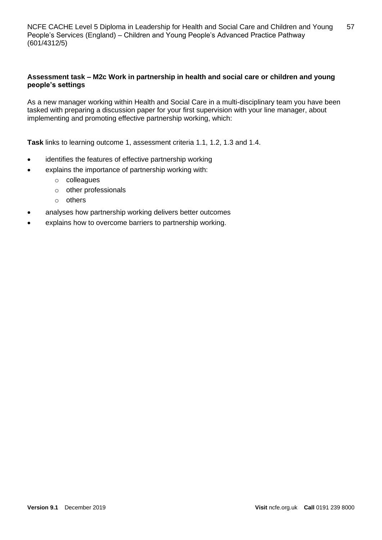NCFE CACHE Level 5 Diploma in Leadership for Health and Social Care and Children and Young 57 People's Services (England) – Children and Young People's Advanced Practice Pathway (601/4312/5)

## **Assessment task – M2c Work in partnership in health and social care or children and young people's settings**

As a new manager working within Health and Social Care in a multi-disciplinary team you have been tasked with preparing a discussion paper for your first supervision with your line manager, about implementing and promoting effective partnership working, which:

**Task** links to learning outcome 1, assessment criteria 1.1, 1.2, 1.3 and 1.4.

- identifies the features of effective partnership working
- explains the importance of partnership working with:
	- o colleagues
	- o other professionals
	- o others
- analyses how partnership working delivers better outcomes
- explains how to overcome barriers to partnership working.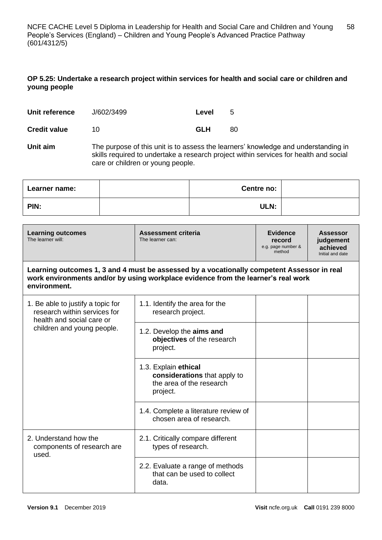# **OP 5.25: Undertake a research project within services for health and social care or children and young people**

| Unit reference      | J/602/3499 | Level      | -5 |
|---------------------|------------|------------|----|
| <b>Credit value</b> | 10         | <b>GLH</b> | 80 |

**Unit aim** The purpose of this unit is to assess the learners' knowledge and understanding in skills required to undertake a research project within services for health and social care or children or young people.

| Learner name: | Centre no: |  |
|---------------|------------|--|
| PIN:          | ULN:       |  |

| <b>Learning outcomes</b><br>The learner will:                                                                                                                                                   | <b>Assessment criteria</b><br>The learner can: | <b>Evidence</b><br>record<br>e.g. page number &<br>method | <b>Assessor</b><br>judgement<br>achieved<br>Initial and date |  |
|-------------------------------------------------------------------------------------------------------------------------------------------------------------------------------------------------|------------------------------------------------|-----------------------------------------------------------|--------------------------------------------------------------|--|
| Learning outcomes 1, 3 and 4 must be assessed by a vocationally competent Assessor in real<br>work environments and/or by using workplace evidence from the learner's real work<br>environment. |                                                |                                                           |                                                              |  |

| 1. Be able to justify a topic for<br>research within services for<br>health and social care or<br>children and young people. | 1.1. Identify the area for the<br>research project.                                          |  |
|------------------------------------------------------------------------------------------------------------------------------|----------------------------------------------------------------------------------------------|--|
|                                                                                                                              | 1.2. Develop the aims and<br>objectives of the research<br>project.                          |  |
|                                                                                                                              | 1.3. Explain ethical<br>considerations that apply to<br>the area of the research<br>project. |  |
|                                                                                                                              | 1.4. Complete a literature review of<br>chosen area of research.                             |  |
| 2. Understand how the<br>components of research are<br>used.                                                                 | 2.1. Critically compare different<br>types of research.                                      |  |
|                                                                                                                              | 2.2. Evaluate a range of methods<br>that can be used to collect<br>data.                     |  |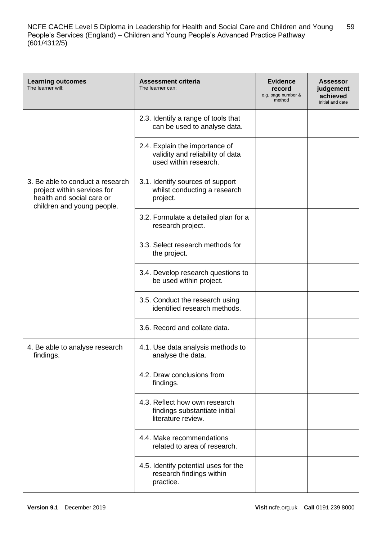NCFE CACHE Level 5 Diploma in Leadership for Health and Social Care and Children and Young 59 People's Services (England) – Children and Young People's Advanced Practice Pathway (601/4312/5)

| <b>Learning outcomes</b><br>The learner will:                                                                              | <b>Assessment criteria</b><br>The learner can:                                              | <b>Evidence</b><br>record<br>e.g. page number &<br>method | <b>Assessor</b><br>judgement<br>achieved<br>Initial and date |
|----------------------------------------------------------------------------------------------------------------------------|---------------------------------------------------------------------------------------------|-----------------------------------------------------------|--------------------------------------------------------------|
|                                                                                                                            | 2.3. Identify a range of tools that<br>can be used to analyse data.                         |                                                           |                                                              |
|                                                                                                                            | 2.4. Explain the importance of<br>validity and reliability of data<br>used within research. |                                                           |                                                              |
| 3. Be able to conduct a research<br>project within services for<br>health and social care or<br>children and young people. | 3.1. Identify sources of support<br>whilst conducting a research<br>project.                |                                                           |                                                              |
|                                                                                                                            | 3.2. Formulate a detailed plan for a<br>research project.                                   |                                                           |                                                              |
|                                                                                                                            | 3.3. Select research methods for<br>the project.                                            |                                                           |                                                              |
|                                                                                                                            | 3.4. Develop research questions to<br>be used within project.                               |                                                           |                                                              |
|                                                                                                                            | 3.5. Conduct the research using<br>identified research methods.                             |                                                           |                                                              |
|                                                                                                                            | 3.6. Record and collate data.                                                               |                                                           |                                                              |
| 4. Be able to analyse research<br>findings.                                                                                | 4.1. Use data analysis methods to<br>analyse the data.                                      |                                                           |                                                              |
|                                                                                                                            | 4.2. Draw conclusions from<br>findings.                                                     |                                                           |                                                              |
|                                                                                                                            | 4.3. Reflect how own research<br>findings substantiate initial<br>literature review.        |                                                           |                                                              |
|                                                                                                                            | 4.4. Make recommendations<br>related to area of research.                                   |                                                           |                                                              |
|                                                                                                                            | 4.5. Identify potential uses for the<br>research findings within<br>practice.               |                                                           |                                                              |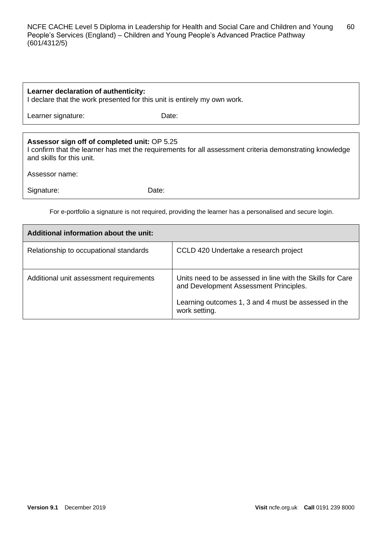NCFE CACHE Level 5 Diploma in Leadership for Health and Social Care and Children and Young 60 People's Services (England) – Children and Young People's Advanced Practice Pathway (601/4312/5)

| Learner declaration of authenticity:<br>I declare that the work presented for this unit is entirely my own work.                                                                     |       |  |  |  |
|--------------------------------------------------------------------------------------------------------------------------------------------------------------------------------------|-------|--|--|--|
| Learner signature:                                                                                                                                                                   | Date: |  |  |  |
|                                                                                                                                                                                      |       |  |  |  |
| Assessor sign off of completed unit: OP 5.25<br>I confirm that the learner has met the requirements for all assessment criteria demonstrating knowledge<br>and skills for this unit. |       |  |  |  |

Assessor name:

Signature: Date:

| Additional information about the unit:  |                                                                                                                                                                               |
|-----------------------------------------|-------------------------------------------------------------------------------------------------------------------------------------------------------------------------------|
| Relationship to occupational standards  | CCLD 420 Undertake a research project                                                                                                                                         |
| Additional unit assessment requirements | Units need to be assessed in line with the Skills for Care<br>and Development Assessment Principles.<br>Learning outcomes 1, 3 and 4 must be assessed in the<br>work setting. |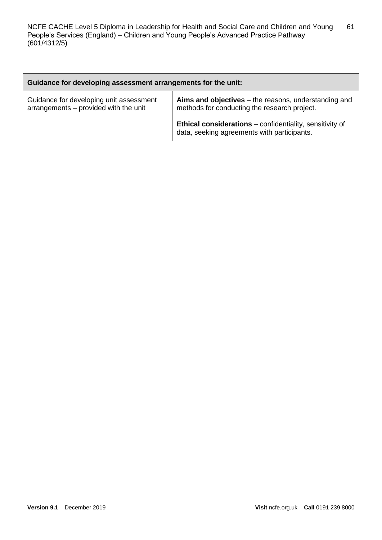| Guidance for developing assessment arrangements for the unit:                    |                                                                                                                |  |  |
|----------------------------------------------------------------------------------|----------------------------------------------------------------------------------------------------------------|--|--|
| Guidance for developing unit assessment<br>arrangements – provided with the unit | Aims and objectives $-$ the reasons, understanding and<br>methods for conducting the research project.         |  |  |
|                                                                                  | <b>Ethical considerations</b> – confidentiality, sensitivity of<br>data, seeking agreements with participants. |  |  |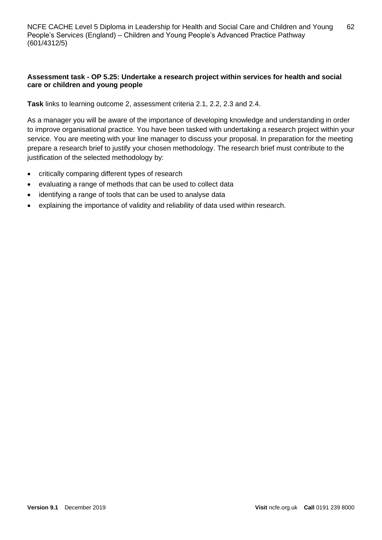NCFE CACHE Level 5 Diploma in Leadership for Health and Social Care and Children and Young 62 People's Services (England) – Children and Young People's Advanced Practice Pathway (601/4312/5)

# **Assessment task - OP 5.25: Undertake a research project within services for health and social care or children and young people**

**Task** links to learning outcome 2, assessment criteria 2.1, 2.2, 2.3 and 2.4.

As a manager you will be aware of the importance of developing knowledge and understanding in order to improve organisational practice. You have been tasked with undertaking a research project within your service. You are meeting with your line manager to discuss your proposal. In preparation for the meeting prepare a research brief to justify your chosen methodology. The research brief must contribute to the justification of the selected methodology by:

- critically comparing different types of research
- evaluating a range of methods that can be used to collect data
- identifying a range of tools that can be used to analyse data
- explaining the importance of validity and reliability of data used within research.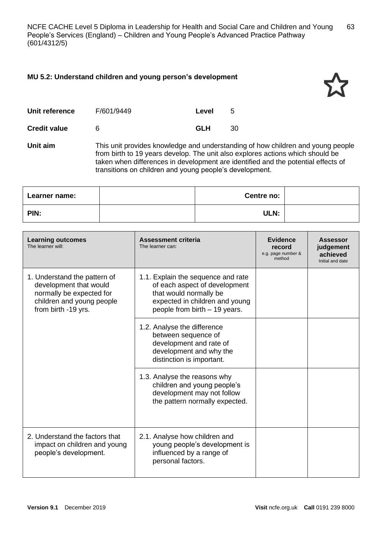## **MU 5.2: Understand children and young person's development**



| Unit reference      | F/601/9449 | Level      | -5 |
|---------------------|------------|------------|----|
| <b>Credit value</b> | ิค         | <b>GLH</b> | 30 |

**Unit aim** This unit provides knowledge and understanding of how children and young people from birth to 19 years develop. The unit also explores actions which should be taken when differences in development are identified and the potential effects of transitions on children and young people's development.

| Learner name: | Centre no:  |  |
|---------------|-------------|--|
| PIN:          | <b>ULN:</b> |  |

| <b>Learning outcomes</b><br>The learner will:                                                                                          | <b>Assessment criteria</b><br>The learner can:                                                                                                                   | <b>Evidence</b><br>record<br>e.g. page number &<br>method | <b>Assessor</b><br>judgement<br>achieved<br>Initial and date |
|----------------------------------------------------------------------------------------------------------------------------------------|------------------------------------------------------------------------------------------------------------------------------------------------------------------|-----------------------------------------------------------|--------------------------------------------------------------|
| 1. Understand the pattern of<br>development that would<br>normally be expected for<br>children and young people<br>from birth -19 yrs. | 1.1. Explain the sequence and rate<br>of each aspect of development<br>that would normally be<br>expected in children and young<br>people from birth - 19 years. |                                                           |                                                              |
|                                                                                                                                        | 1.2. Analyse the difference<br>between sequence of<br>development and rate of<br>development and why the<br>distinction is important.                            |                                                           |                                                              |
|                                                                                                                                        | 1.3. Analyse the reasons why<br>children and young people's<br>development may not follow<br>the pattern normally expected.                                      |                                                           |                                                              |
| 2. Understand the factors that<br>impact on children and young<br>people's development.                                                | 2.1. Analyse how children and<br>young people's development is<br>influenced by a range of<br>personal factors.                                                  |                                                           |                                                              |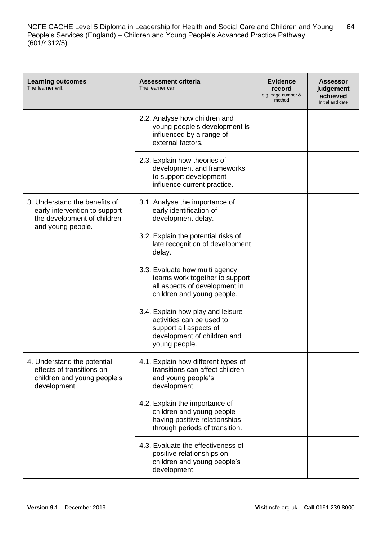NCFE CACHE Level 5 Diploma in Leadership for Health and Social Care and Children and Young 64 People's Services (England) – Children and Young People's Advanced Practice Pathway (601/4312/5)

| <b>Learning outcomes</b><br>The learner will:                                                           | Assessment criteria<br>The learner can:                                                                                                  | <b>Evidence</b><br>record<br>e.g. page number &<br>method | <b>Assessor</b><br>judgement<br>achieved<br>Initial and date |
|---------------------------------------------------------------------------------------------------------|------------------------------------------------------------------------------------------------------------------------------------------|-----------------------------------------------------------|--------------------------------------------------------------|
|                                                                                                         | 2.2. Analyse how children and<br>young people's development is<br>influenced by a range of<br>external factors.                          |                                                           |                                                              |
|                                                                                                         | 2.3. Explain how theories of<br>development and frameworks<br>to support development<br>influence current practice.                      |                                                           |                                                              |
| 3. Understand the benefits of<br>early intervention to support<br>the development of children           | 3.1. Analyse the importance of<br>early identification of<br>development delay.                                                          |                                                           |                                                              |
| and young people.                                                                                       | 3.2. Explain the potential risks of<br>late recognition of development<br>delay.                                                         |                                                           |                                                              |
|                                                                                                         | 3.3. Evaluate how multi agency<br>teams work together to support<br>all aspects of development in<br>children and young people.          |                                                           |                                                              |
|                                                                                                         | 3.4. Explain how play and leisure<br>activities can be used to<br>support all aspects of<br>development of children and<br>young people. |                                                           |                                                              |
| 4. Understand the potential<br>effects of transitions on<br>children and young people's<br>development. | 4.1. Explain how different types of<br>transitions can affect children<br>and young people's<br>development.                             |                                                           |                                                              |
|                                                                                                         | 4.2. Explain the importance of<br>children and young people<br>having positive relationships<br>through periods of transition.           |                                                           |                                                              |
|                                                                                                         | 4.3. Evaluate the effectiveness of<br>positive relationships on<br>children and young people's<br>development.                           |                                                           |                                                              |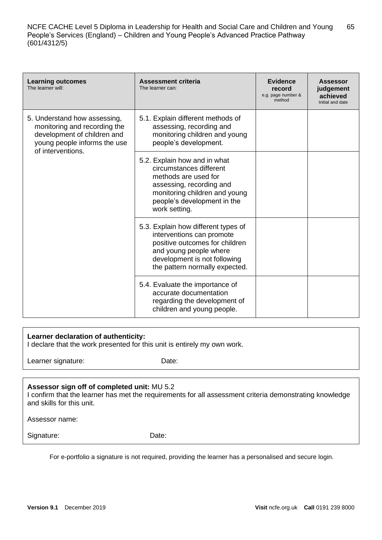NCFE CACHE Level 5 Diploma in Leadership for Health and Social Care and Children and Young 65 People's Services (England) – Children and Young People's Advanced Practice Pathway (601/4312/5)

| <b>Learning outcomes</b><br>The learner will:                                                                                                    | <b>Assessment criteria</b><br>The learner can:                                                                                                                                                 | <b>Evidence</b><br>record<br>e.g. page number &<br>method | <b>Assessor</b><br>judgement<br>achieved<br>Initial and date |
|--------------------------------------------------------------------------------------------------------------------------------------------------|------------------------------------------------------------------------------------------------------------------------------------------------------------------------------------------------|-----------------------------------------------------------|--------------------------------------------------------------|
| 5. Understand how assessing,<br>monitoring and recording the<br>development of children and<br>young people informs the use<br>of interventions. | 5.1. Explain different methods of<br>assessing, recording and<br>monitoring children and young<br>people's development.                                                                        |                                                           |                                                              |
|                                                                                                                                                  | 5.2. Explain how and in what<br>circumstances different<br>methods are used for<br>assessing, recording and<br>monitoring children and young<br>people's development in the<br>work setting.   |                                                           |                                                              |
|                                                                                                                                                  | 5.3. Explain how different types of<br>interventions can promote<br>positive outcomes for children<br>and young people where<br>development is not following<br>the pattern normally expected. |                                                           |                                                              |
|                                                                                                                                                  | 5.4. Evaluate the importance of<br>accurate documentation<br>regarding the development of<br>children and young people.                                                                        |                                                           |                                                              |

#### **Learner declaration of authenticity:**

I declare that the work presented for this unit is entirely my own work.

| Learner signature: | Date: |
|--------------------|-------|
|--------------------|-------|

# **Assessor sign off of completed unit:** MU 5.2

I confirm that the learner has met the requirements for all assessment criteria demonstrating knowledge and skills for this unit.

Assessor name:

Signature: Date: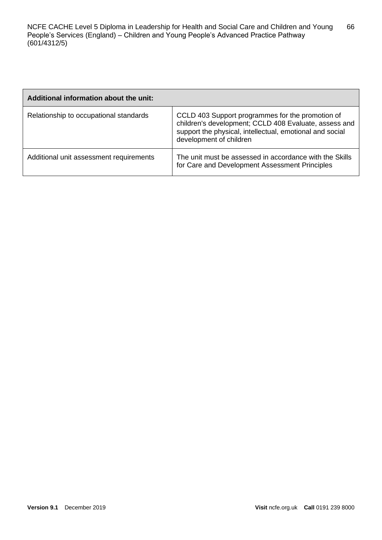| Additional information about the unit:  |                                                                                                                                                                                                  |
|-----------------------------------------|--------------------------------------------------------------------------------------------------------------------------------------------------------------------------------------------------|
| Relationship to occupational standards  | CCLD 403 Support programmes for the promotion of<br>children's development; CCLD 408 Evaluate, assess and<br>support the physical, intellectual, emotional and social<br>development of children |
| Additional unit assessment requirements | The unit must be assessed in accordance with the Skills<br>for Care and Development Assessment Principles                                                                                        |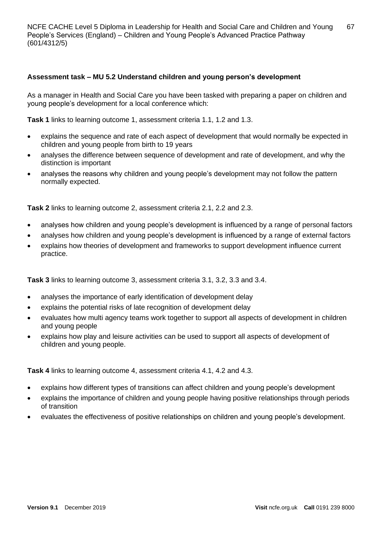NCFE CACHE Level 5 Diploma in Leadership for Health and Social Care and Children and Young 67 People's Services (England) – Children and Young People's Advanced Practice Pathway (601/4312/5)

## **Assessment task – MU 5.2 Understand children and young person's development**

As a manager in Health and Social Care you have been tasked with preparing a paper on children and young people's development for a local conference which:

**Task 1** links to learning outcome 1, assessment criteria 1.1, 1.2 and 1.3.

- explains the sequence and rate of each aspect of development that would normally be expected in children and young people from birth to 19 years
- analyses the difference between sequence of development and rate of development, and why the distinction is important
- analyses the reasons why children and young people's development may not follow the pattern normally expected.

**Task 2** links to learning outcome 2, assessment criteria 2.1, 2.2 and 2.3.

- analyses how children and young people's development is influenced by a range of personal factors
- analyses how children and young people's development is influenced by a range of external factors
- explains how theories of development and frameworks to support development influence current practice.

**Task 3** links to learning outcome 3, assessment criteria 3.1, 3.2, 3.3 and 3.4.

- analyses the importance of early identification of development delay
- explains the potential risks of late recognition of development delay
- evaluates how multi agency teams work together to support all aspects of development in children and young people
- explains how play and leisure activities can be used to support all aspects of development of children and young people.

**Task 4** links to learning outcome 4, assessment criteria 4.1, 4.2 and 4.3.

- explains how different types of transitions can affect children and young people's development
- explains the importance of children and young people having positive relationships through periods of transition
- evaluates the effectiveness of positive relationships on children and young people's development.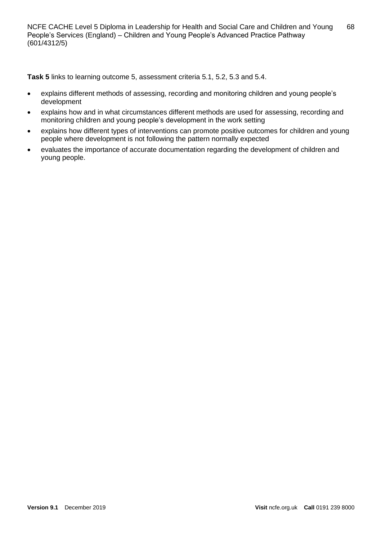**Task 5** links to learning outcome 5, assessment criteria 5.1, 5.2, 5.3 and 5.4.

- explains different methods of assessing, recording and monitoring children and young people's development
- explains how and in what circumstances different methods are used for assessing, recording and monitoring children and young people's development in the work setting
- explains how different types of interventions can promote positive outcomes for children and young people where development is not following the pattern normally expected
- evaluates the importance of accurate documentation regarding the development of children and young people.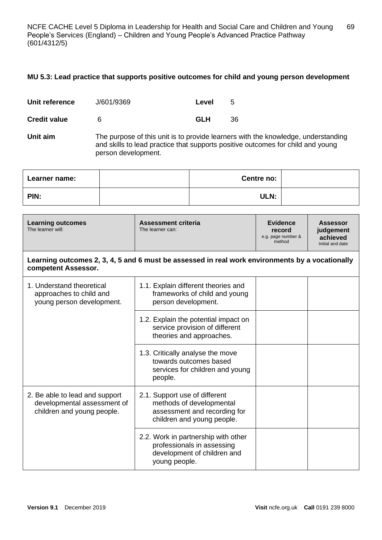## **MU 5.3: Lead practice that supports positive outcomes for child and young person development**

| Unit reference      | J/601/9369 | Level      |      |
|---------------------|------------|------------|------|
| <b>Credit value</b> | ี          | <b>GLH</b> | -36. |

**Unit aim** The purpose of this unit is to provide learners with the knowledge, understanding and skills to lead practice that supports positive outcomes for child and young person development.

| Learner name: | Centre no: |  |
|---------------|------------|--|
| PIN:          | ULN:       |  |

| <b>Learning outcomes</b><br>The learner will:                                               | Assessment criteria<br>The learner can:                                                                                 | Evidence<br>record<br>e.g. page number &<br>method | <b>Assessor</b><br>judgement<br>achieved<br>Initial and date |
|---------------------------------------------------------------------------------------------|-------------------------------------------------------------------------------------------------------------------------|----------------------------------------------------|--------------------------------------------------------------|
| competent Assessor.                                                                         | Learning outcomes 2, 3, 4, 5 and 6 must be assessed in real work environments by a vocationally                         |                                                    |                                                              |
| 1. Understand theoretical<br>approaches to child and<br>young person development.           | 1.1. Explain different theories and<br>frameworks of child and young<br>person development.                             |                                                    |                                                              |
|                                                                                             | 1.2. Explain the potential impact on<br>service provision of different<br>theories and approaches.                      |                                                    |                                                              |
|                                                                                             | 1.3. Critically analyse the move<br>towards outcomes based<br>services for children and young<br>people.                |                                                    |                                                              |
| 2. Be able to lead and support<br>developmental assessment of<br>children and young people. | 2.1. Support use of different<br>methods of developmental<br>assessment and recording for<br>children and young people. |                                                    |                                                              |
|                                                                                             | 2.2. Work in partnership with other<br>professionals in assessing<br>development of children and<br>young people.       |                                                    |                                                              |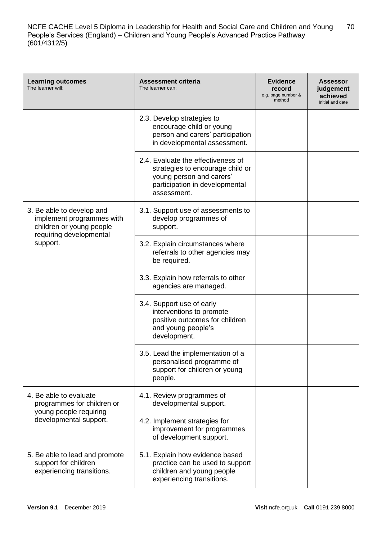NCFE CACHE Level 5 Diploma in Leadership for Health and Social Care and Children and Young 70 People's Services (England) – Children and Young People's Advanced Practice Pathway (601/4312/5)

| <b>Learning outcomes</b><br>The learner will:                                                            | <b>Assessment criteria</b><br>The learner can:                                                                                                      | Evidence<br>record<br>e.g. page number &<br>method | <b>Assessor</b><br>judgement<br>achieved<br>Initial and date |
|----------------------------------------------------------------------------------------------------------|-----------------------------------------------------------------------------------------------------------------------------------------------------|----------------------------------------------------|--------------------------------------------------------------|
|                                                                                                          | 2.3. Develop strategies to<br>encourage child or young<br>person and carers' participation<br>in developmental assessment.                          |                                                    |                                                              |
|                                                                                                          | 2.4. Evaluate the effectiveness of<br>strategies to encourage child or<br>young person and carers'<br>participation in developmental<br>assessment. |                                                    |                                                              |
| 3. Be able to develop and<br>implement programmes with<br>children or young people                       | 3.1. Support use of assessments to<br>develop programmes of<br>support.                                                                             |                                                    |                                                              |
| requiring developmental<br>support.                                                                      | 3.2. Explain circumstances where<br>referrals to other agencies may<br>be required.                                                                 |                                                    |                                                              |
|                                                                                                          | 3.3. Explain how referrals to other<br>agencies are managed.                                                                                        |                                                    |                                                              |
|                                                                                                          | 3.4. Support use of early<br>interventions to promote<br>positive outcomes for children<br>and young people's<br>development.                       |                                                    |                                                              |
|                                                                                                          | 3.5. Lead the implementation of a<br>personalised programme of<br>support for children or young<br>people.                                          |                                                    |                                                              |
| 4. Be able to evaluate<br>programmes for children or<br>young people requiring<br>developmental support. | 4.1. Review programmes of<br>developmental support.                                                                                                 |                                                    |                                                              |
|                                                                                                          | 4.2. Implement strategies for<br>improvement for programmes<br>of development support.                                                              |                                                    |                                                              |
| 5. Be able to lead and promote<br>support for children<br>experiencing transitions.                      | 5.1. Explain how evidence based<br>practice can be used to support<br>children and young people<br>experiencing transitions.                        |                                                    |                                                              |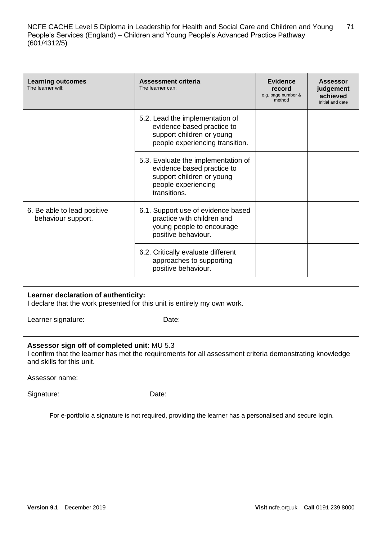NCFE CACHE Level 5 Diploma in Leadership for Health and Social Care and Children and Young 71 People's Services (England) – Children and Young People's Advanced Practice Pathway (601/4312/5)

| <b>Learning outcomes</b><br>The learner will:     | <b>Assessment criteria</b><br>The learner can:                                                                                        | Evidence<br>record<br>e.g. page number &<br>method | <b>Assessor</b><br>judgement<br>achieved<br>Initial and date |
|---------------------------------------------------|---------------------------------------------------------------------------------------------------------------------------------------|----------------------------------------------------|--------------------------------------------------------------|
|                                                   | 5.2. Lead the implementation of<br>evidence based practice to<br>support children or young<br>people experiencing transition.         |                                                    |                                                              |
|                                                   | 5.3. Evaluate the implementation of<br>evidence based practice to<br>support children or young<br>people experiencing<br>transitions. |                                                    |                                                              |
| 6. Be able to lead positive<br>behaviour support. | 6.1. Support use of evidence based<br>practice with children and<br>young people to encourage<br>positive behaviour.                  |                                                    |                                                              |
|                                                   | 6.2. Critically evaluate different<br>approaches to supporting<br>positive behaviour.                                                 |                                                    |                                                              |

#### **Learner declaration of authenticity:**

I declare that the work presented for this unit is entirely my own work.

Learner signature: Date:

## **Assessor sign off of completed unit:** MU 5.3

I confirm that the learner has met the requirements for all assessment criteria demonstrating knowledge and skills for this unit.

Assessor name:

Signature: Date: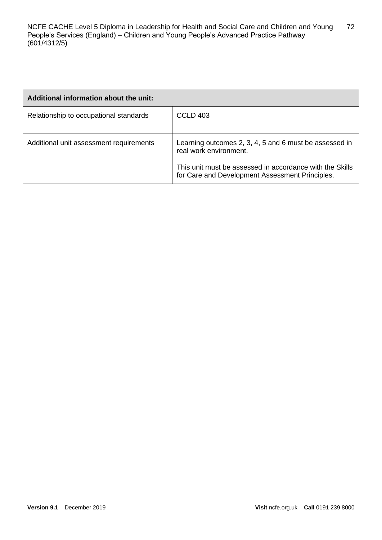| Additional information about the unit:  |                                                                                                                                                                                                 |
|-----------------------------------------|-------------------------------------------------------------------------------------------------------------------------------------------------------------------------------------------------|
| Relationship to occupational standards  | CCLD 403                                                                                                                                                                                        |
| Additional unit assessment requirements | Learning outcomes 2, 3, 4, 5 and 6 must be assessed in<br>real work environment.<br>This unit must be assessed in accordance with the Skills<br>for Care and Development Assessment Principles. |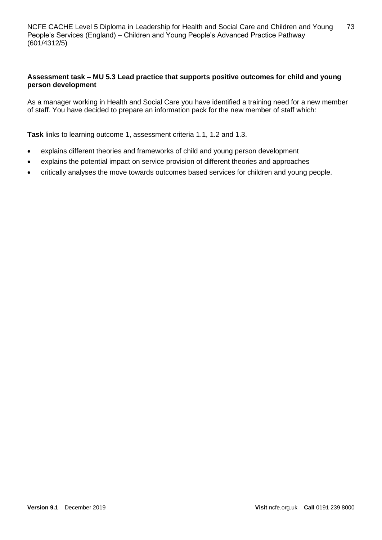NCFE CACHE Level 5 Diploma in Leadership for Health and Social Care and Children and Young 73 People's Services (England) – Children and Young People's Advanced Practice Pathway (601/4312/5)

#### **Assessment task – MU 5.3 Lead practice that supports positive outcomes for child and young person development**

As a manager working in Health and Social Care you have identified a training need for a new member of staff. You have decided to prepare an information pack for the new member of staff which:

**Task** links to learning outcome 1, assessment criteria 1.1, 1.2 and 1.3.

- explains different theories and frameworks of child and young person development
- explains the potential impact on service provision of different theories and approaches
- critically analyses the move towards outcomes based services for children and young people.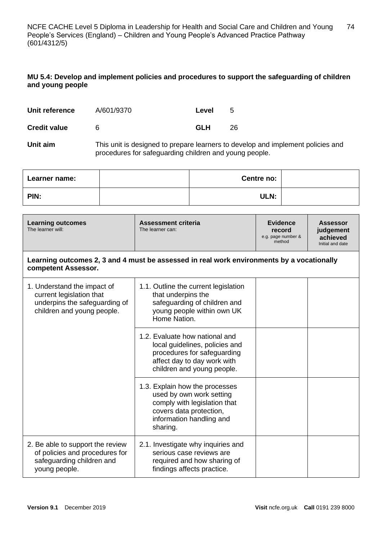#### **MU 5.4: Develop and implement policies and procedures to support the safeguarding of children and young people**

| Unit reference      | A/601/9370 | Level      | -5 |
|---------------------|------------|------------|----|
| <b>Credit value</b> | 6          | <b>GLH</b> | 26 |

**Unit aim** This unit is designed to prepare learners to develop and implement policies and procedures for safeguarding children and young people.

| Learner name: | Centre no: |  |
|---------------|------------|--|
| PIN:          | ULN:       |  |

| <b>Learning outcomes</b><br>The learner will:                                                                          | Assessment criteria<br>The learner can:                                                                                                                       | <b>Evidence</b><br>record<br>e.g. page number &<br>method | <b>Assessor</b><br>judgement<br>achieved<br>Initial and date |
|------------------------------------------------------------------------------------------------------------------------|---------------------------------------------------------------------------------------------------------------------------------------------------------------|-----------------------------------------------------------|--------------------------------------------------------------|
| competent Assessor.                                                                                                    | Learning outcomes 2, 3 and 4 must be assessed in real work environments by a vocationally                                                                     |                                                           |                                                              |
| 1. Understand the impact of<br>current legislation that<br>underpins the safeguarding of<br>children and young people. | 1.1. Outline the current legislation<br>that underpins the<br>safeguarding of children and<br>young people within own UK<br>Home Nation.                      |                                                           |                                                              |
|                                                                                                                        | 1.2. Evaluate how national and<br>local guidelines, policies and<br>procedures for safeguarding<br>affect day to day work with<br>children and young people.  |                                                           |                                                              |
|                                                                                                                        | 1.3. Explain how the processes<br>used by own work setting<br>comply with legislation that<br>covers data protection,<br>information handling and<br>sharing. |                                                           |                                                              |
| 2. Be able to support the review<br>of policies and procedures for<br>safeguarding children and<br>young people.       | 2.1. Investigate why inquiries and<br>serious case reviews are<br>required and how sharing of<br>findings affects practice.                                   |                                                           |                                                              |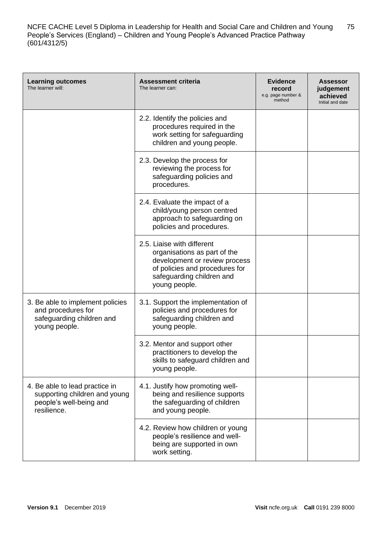NCFE CACHE Level 5 Diploma in Leadership for Health and Social Care and Children and Young 75 People's Services (England) – Children and Young People's Advanced Practice Pathway (601/4312/5)

| <b>Learning outcomes</b><br>The learner will:                                                             | <b>Assessment criteria</b><br>The learner can:                                                                                                                              | <b>Evidence</b><br>record<br>e.g. page number &<br>method | <b>Assessor</b><br>judgement<br>achieved<br>Initial and date |
|-----------------------------------------------------------------------------------------------------------|-----------------------------------------------------------------------------------------------------------------------------------------------------------------------------|-----------------------------------------------------------|--------------------------------------------------------------|
|                                                                                                           | 2.2. Identify the policies and<br>procedures required in the<br>work setting for safeguarding<br>children and young people.                                                 |                                                           |                                                              |
|                                                                                                           | 2.3. Develop the process for<br>reviewing the process for<br>safeguarding policies and<br>procedures.                                                                       |                                                           |                                                              |
|                                                                                                           | 2.4. Evaluate the impact of a<br>child/young person centred<br>approach to safeguarding on<br>policies and procedures.                                                      |                                                           |                                                              |
|                                                                                                           | 2.5. Liaise with different<br>organisations as part of the<br>development or review process<br>of policies and procedures for<br>safeguarding children and<br>young people. |                                                           |                                                              |
| 3. Be able to implement policies<br>and procedures for<br>safeguarding children and<br>young people.      | 3.1. Support the implementation of<br>policies and procedures for<br>safeguarding children and<br>young people.                                                             |                                                           |                                                              |
|                                                                                                           | 3.2. Mentor and support other<br>practitioners to develop the<br>skills to safeguard children and<br>young people.                                                          |                                                           |                                                              |
| 4. Be able to lead practice in<br>supporting children and young<br>people's well-being and<br>resilience. | 4.1. Justify how promoting well-<br>being and resilience supports<br>the safeguarding of children<br>and young people.                                                      |                                                           |                                                              |
|                                                                                                           | 4.2. Review how children or young<br>people's resilience and well-<br>being are supported in own<br>work setting.                                                           |                                                           |                                                              |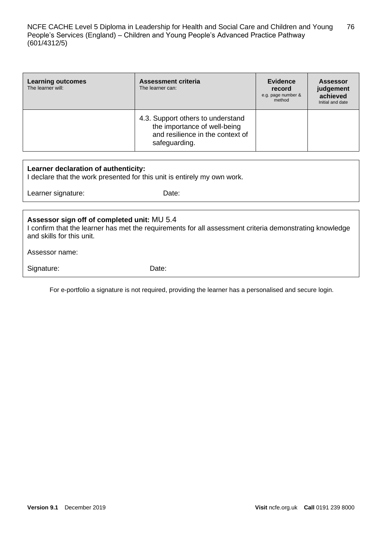NCFE CACHE Level 5 Diploma in Leadership for Health and Social Care and Children and Young 76 People's Services (England) – Children and Young People's Advanced Practice Pathway (601/4312/5)

| <b>Learning outcomes</b><br>The learner will: | <b>Assessment criteria</b><br>The learner can:                                                                         | <b>Evidence</b><br>record<br>e.g. page number &<br>method | <b>Assessor</b><br>judgement<br>achieved<br>Initial and date |
|-----------------------------------------------|------------------------------------------------------------------------------------------------------------------------|-----------------------------------------------------------|--------------------------------------------------------------|
|                                               | 4.3. Support others to understand<br>the importance of well-being<br>and resilience in the context of<br>safeguarding. |                                                           |                                                              |

#### **Learner declaration of authenticity:**

I declare that the work presented for this unit is entirely my own work.

Learner signature: Date:

#### **Assessor sign off of completed unit:** MU 5.4

I confirm that the learner has met the requirements for all assessment criteria demonstrating knowledge and skills for this unit.

Assessor name:

Signature: Date:

For e-portfolio a signature is not required, providing the learner has a personalised and secure login.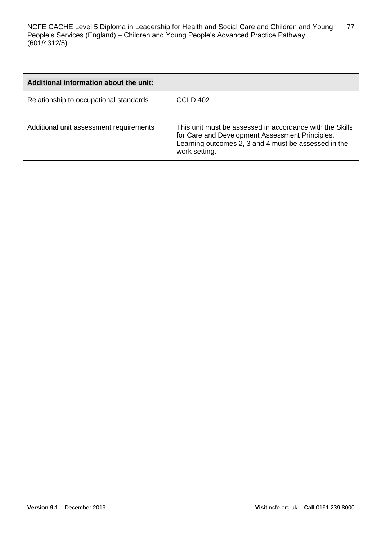| Additional information about the unit:  |                                                                                                                                                                                      |
|-----------------------------------------|--------------------------------------------------------------------------------------------------------------------------------------------------------------------------------------|
| Relationship to occupational standards  | CCLD 402                                                                                                                                                                             |
| Additional unit assessment requirements | This unit must be assessed in accordance with the Skills<br>for Care and Development Assessment Principles.<br>Learning outcomes 2, 3 and 4 must be assessed in the<br>work setting. |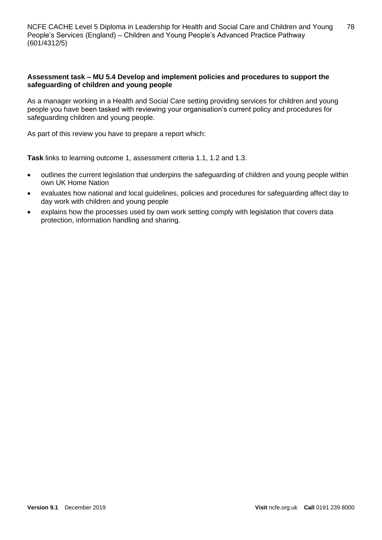NCFE CACHE Level 5 Diploma in Leadership for Health and Social Care and Children and Young 78 People's Services (England) – Children and Young People's Advanced Practice Pathway (601/4312/5)

#### **Assessment task – MU 5.4 Develop and implement policies and procedures to support the safeguarding of children and young people**

As a manager working in a Health and Social Care setting providing services for children and young people you have been tasked with reviewing your organisation's current policy and procedures for safeguarding children and young people.

As part of this review you have to prepare a report which:

**Task** links to learning outcome 1, assessment criteria 1.1, 1.2 and 1.3.

- outlines the current legislation that underpins the safeguarding of children and young people within own UK Home Nation
- evaluates how national and local guidelines, policies and procedures for safeguarding affect day to day work with children and young people
- explains how the processes used by own work setting comply with legislation that covers data protection, information handling and sharing.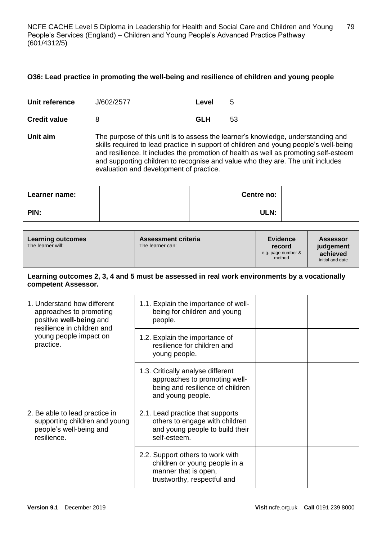#### **O36: Lead practice in promoting the well-being and resilience of children and young people**

| Unit reference      | J/602/2577 | Level      | - 5 |
|---------------------|------------|------------|-----|
| <b>Credit value</b> |            | <b>GLH</b> | 53  |

**Unit aim** The purpose of this unit is to assess the learner's knowledge, understanding and skills required to lead practice in support of children and young people's well-being and resilience. It includes the promotion of health as well as promoting self-esteem and supporting children to recognise and value who they are. The unit includes evaluation and development of practice.

| Learner name: | Centre no: |  |
|---------------|------------|--|
| PIN:          | ULN:       |  |

| <b>Learning outcomes</b><br>The learner will:                                                                   | Assessment criteria<br>The learner can:                                                                                     | <b>Evidence</b><br>record<br>e.g. page number &<br>method | <b>Assessor</b><br>judgement<br>achieved<br>Initial and date |
|-----------------------------------------------------------------------------------------------------------------|-----------------------------------------------------------------------------------------------------------------------------|-----------------------------------------------------------|--------------------------------------------------------------|
| competent Assessor.                                                                                             | Learning outcomes 2, 3, 4 and 5 must be assessed in real work environments by a vocationally                                |                                                           |                                                              |
| 1. Understand how different<br>approaches to promoting<br>positive well-being and<br>resilience in children and | 1.1. Explain the importance of well-<br>being for children and young<br>people.                                             |                                                           |                                                              |
| young people impact on<br>practice.                                                                             | 1.2. Explain the importance of<br>resilience for children and<br>young people.                                              |                                                           |                                                              |
|                                                                                                                 | 1.3. Critically analyse different<br>approaches to promoting well-<br>being and resilience of children<br>and young people. |                                                           |                                                              |
| 2. Be able to lead practice in<br>supporting children and young<br>people's well-being and<br>resilience.       | 2.1. Lead practice that supports<br>others to engage with children<br>and young people to build their<br>self-esteem.       |                                                           |                                                              |
|                                                                                                                 | 2.2. Support others to work with<br>children or young people in a<br>manner that is open,<br>trustworthy, respectful and    |                                                           |                                                              |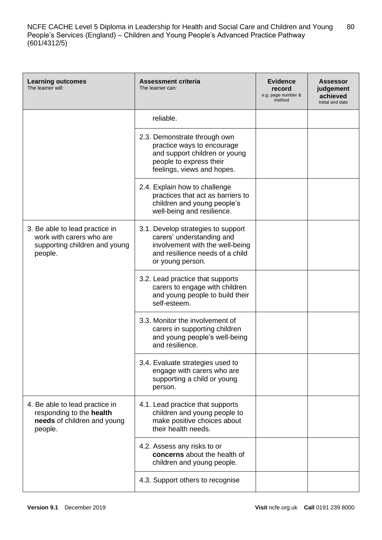NCFE CACHE Level 5 Diploma in Leadership for Health and Social Care and Children and Young 80 People's Services (England) – Children and Young People's Advanced Practice Pathway (601/4312/5)

| <b>Learning outcomes</b><br>The learner will:                                                          | <b>Assessment criteria</b><br>The learner can:                                                                                                            | <b>Evidence</b><br>record<br>e.g. page number &<br>method | <b>Assessor</b><br>judgement<br>achieved<br>Initial and date |
|--------------------------------------------------------------------------------------------------------|-----------------------------------------------------------------------------------------------------------------------------------------------------------|-----------------------------------------------------------|--------------------------------------------------------------|
|                                                                                                        | reliable.                                                                                                                                                 |                                                           |                                                              |
|                                                                                                        | 2.3. Demonstrate through own<br>practice ways to encourage<br>and support children or young<br>people to express their<br>feelings, views and hopes.      |                                                           |                                                              |
|                                                                                                        | 2.4. Explain how to challenge<br>practices that act as barriers to<br>children and young people's<br>well-being and resilience.                           |                                                           |                                                              |
| 3. Be able to lead practice in<br>work with carers who are<br>supporting children and young<br>people. | 3.1. Develop strategies to support<br>carers' understanding and<br>involvement with the well-being<br>and resilience needs of a child<br>or young person. |                                                           |                                                              |
|                                                                                                        | 3.2. Lead practice that supports<br>carers to engage with children<br>and young people to build their<br>self-esteem.                                     |                                                           |                                                              |
|                                                                                                        | 3.3. Monitor the involvement of<br>carers in supporting children<br>and young people's well-being<br>and resilience.                                      |                                                           |                                                              |
|                                                                                                        | 3.4. Evaluate strategies used to<br>engage with carers who are<br>supporting a child or young<br>person.                                                  |                                                           |                                                              |
| 4. Be able to lead practice in<br>responding to the health<br>needs of children and young<br>people.   | 4.1. Lead practice that supports<br>children and young people to<br>make positive choices about<br>their health needs.                                    |                                                           |                                                              |
|                                                                                                        | 4.2. Assess any risks to or<br>concerns about the health of<br>children and young people.                                                                 |                                                           |                                                              |
|                                                                                                        | 4.3. Support others to recognise                                                                                                                          |                                                           |                                                              |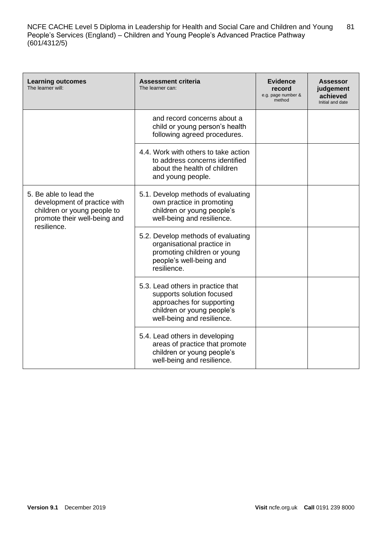NCFE CACHE Level 5 Diploma in Leadership for Health and Social Care and Children and Young 81 People's Services (England) – Children and Young People's Advanced Practice Pathway (601/4312/5)

| <b>Learning outcomes</b><br>The learner will:                                                                                        | <b>Assessment criteria</b><br>The learner can:                                                                                                          | Evidence<br>record<br>e.g. page number &<br>method | <b>Assessor</b><br>judgement<br>achieved<br>Initial and date |
|--------------------------------------------------------------------------------------------------------------------------------------|---------------------------------------------------------------------------------------------------------------------------------------------------------|----------------------------------------------------|--------------------------------------------------------------|
|                                                                                                                                      | and record concerns about a<br>child or young person's health<br>following agreed procedures.                                                           |                                                    |                                                              |
|                                                                                                                                      | 4.4. Work with others to take action<br>to address concerns identified<br>about the health of children<br>and young people.                             |                                                    |                                                              |
| 5. Be able to lead the<br>development of practice with<br>children or young people to<br>promote their well-being and<br>resilience. | 5.1. Develop methods of evaluating<br>own practice in promoting<br>children or young people's<br>well-being and resilience.                             |                                                    |                                                              |
|                                                                                                                                      | 5.2. Develop methods of evaluating<br>organisational practice in<br>promoting children or young<br>people's well-being and<br>resilience.               |                                                    |                                                              |
|                                                                                                                                      | 5.3. Lead others in practice that<br>supports solution focused<br>approaches for supporting<br>children or young people's<br>well-being and resilience. |                                                    |                                                              |
|                                                                                                                                      | 5.4. Lead others in developing<br>areas of practice that promote<br>children or young people's<br>well-being and resilience.                            |                                                    |                                                              |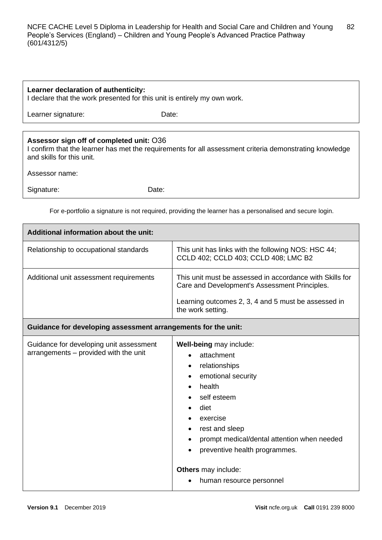#### **Learner declaration of authenticity:**

I declare that the work presented for this unit is entirely my own work.

Learner signature: Date:

#### **Assessor sign off of completed unit:** O36

I confirm that the learner has met the requirements for all assessment criteria demonstrating knowledge and skills for this unit.

Assessor name:

Signature: Date:

For e-portfolio a signature is not required, providing the learner has a personalised and secure login.

| Additional information about the unit:                                           |                                                                                                                                                                                                                                               |
|----------------------------------------------------------------------------------|-----------------------------------------------------------------------------------------------------------------------------------------------------------------------------------------------------------------------------------------------|
| Relationship to occupational standards                                           | This unit has links with the following NOS: HSC 44;<br>CCLD 402; CCLD 403; CCLD 408; LMC B2                                                                                                                                                   |
| Additional unit assessment requirements                                          | This unit must be assessed in accordance with Skills for<br>Care and Development's Assessment Principles.<br>Learning outcomes 2, 3, 4 and 5 must be assessed in<br>the work setting.                                                         |
|                                                                                  |                                                                                                                                                                                                                                               |
| Guidance for developing assessment arrangements for the unit:                    |                                                                                                                                                                                                                                               |
| Guidance for developing unit assessment<br>arrangements - provided with the unit | Well-being may include:<br>attachment<br>relationships<br>$\bullet$<br>emotional security<br>health<br>self esteem<br>diet<br>exercise<br>rest and sleep<br>٠<br>prompt medical/dental attention when needed<br>preventive health programmes. |
|                                                                                  | <b>Others</b> may include:                                                                                                                                                                                                                    |
|                                                                                  | human resource personnel                                                                                                                                                                                                                      |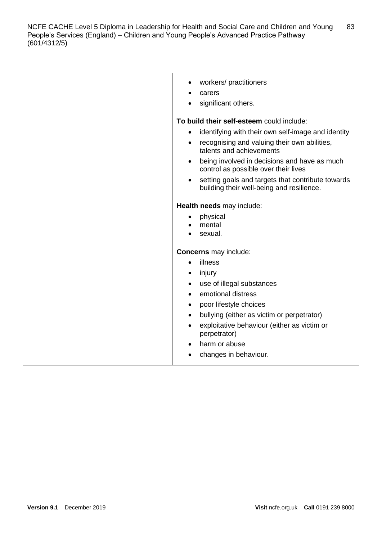NCFE CACHE Level 5 Diploma in Leadership for Health and Social Care and Children and Young 83 People's Services (England) – Children and Young People's Advanced Practice Pathway (601/4312/5)

|                              | workers/ practitioners                                                                                      |  |  |  |
|------------------------------|-------------------------------------------------------------------------------------------------------------|--|--|--|
|                              | carers                                                                                                      |  |  |  |
|                              | significant others.                                                                                         |  |  |  |
|                              | To build their self-esteem could include:                                                                   |  |  |  |
|                              | identifying with their own self-image and identity<br>٠                                                     |  |  |  |
|                              | recognising and valuing their own abilities,<br>talents and achievements                                    |  |  |  |
|                              | being involved in decisions and have as much<br>$\bullet$<br>control as possible over their lives           |  |  |  |
|                              | setting goals and targets that contribute towards<br>$\bullet$<br>building their well-being and resilience. |  |  |  |
|                              | Health needs may include:                                                                                   |  |  |  |
|                              | physical<br>٠                                                                                               |  |  |  |
|                              | mental<br>$\bullet$                                                                                         |  |  |  |
|                              | sexual.                                                                                                     |  |  |  |
| <b>Concerns</b> may include: |                                                                                                             |  |  |  |
|                              | illness                                                                                                     |  |  |  |
|                              | injury<br>٠                                                                                                 |  |  |  |
|                              | use of illegal substances<br>$\bullet$                                                                      |  |  |  |
|                              | emotional distress<br>$\bullet$                                                                             |  |  |  |
|                              | poor lifestyle choices<br>$\bullet$                                                                         |  |  |  |
|                              | bullying (either as victim or perpetrator)<br>$\bullet$                                                     |  |  |  |
|                              | exploitative behaviour (either as victim or<br>$\bullet$<br>perpetrator)                                    |  |  |  |
|                              | harm or abuse                                                                                               |  |  |  |
|                              | changes in behaviour.                                                                                       |  |  |  |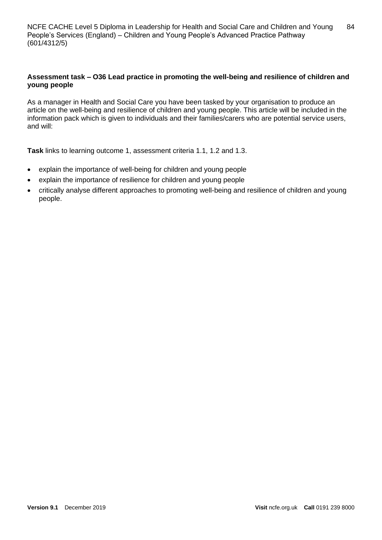NCFE CACHE Level 5 Diploma in Leadership for Health and Social Care and Children and Young 84 People's Services (England) – Children and Young People's Advanced Practice Pathway (601/4312/5)

#### **Assessment task – O36 Lead practice in promoting the well-being and resilience of children and young people**

As a manager in Health and Social Care you have been tasked by your organisation to produce an article on the well-being and resilience of children and young people. This article will be included in the information pack which is given to individuals and their families/carers who are potential service users, and will:

**Task** links to learning outcome 1, assessment criteria 1.1, 1.2 and 1.3.

- explain the importance of well-being for children and young people
- explain the importance of resilience for children and young people
- critically analyse different approaches to promoting well-being and resilience of children and young people.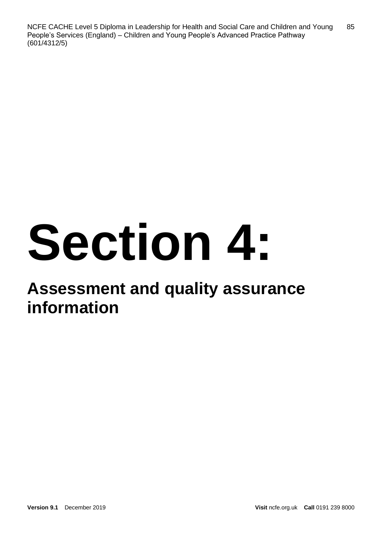NCFE CACHE Level 5 Diploma in Leadership for Health and Social Care and Children and Young 85 People's Services (England) – Children and Young People's Advanced Practice Pathway (601/4312/5)

## **Section 4:**

## **Assessment and quality assurance information**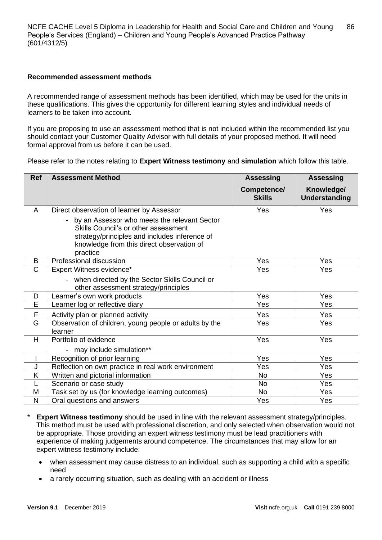NCFE CACHE Level 5 Diploma in Leadership for Health and Social Care and Children and Young 86 People's Services (England) – Children and Young People's Advanced Practice Pathway (601/4312/5)

#### **Recommended assessment methods**

A recommended range of assessment methods has been identified, which may be used for the units in these qualifications. This gives the opportunity for different learning styles and individual needs of learners to be taken into account.

If you are proposing to use an assessment method that is not included within the recommended list you should contact your Customer Quality Advisor with full details of your proposed method. It will need formal approval from us before it can be used.

Please refer to the notes relating to **Expert Witness testimony** and **simulation** which follow this table.

| <b>Ref</b> | <b>Assessment Method</b>                                                                                                                                                                         | <b>Assessing</b>             | <b>Assessing</b>                   |
|------------|--------------------------------------------------------------------------------------------------------------------------------------------------------------------------------------------------|------------------------------|------------------------------------|
|            |                                                                                                                                                                                                  | Competence/<br><b>Skills</b> | Knowledge/<br><b>Understanding</b> |
| A          | Direct observation of learner by Assessor                                                                                                                                                        | <b>Yes</b>                   | Yes                                |
|            | - by an Assessor who meets the relevant Sector<br>Skills Council's or other assessment<br>strategy/principles and includes inference of<br>knowledge from this direct observation of<br>practice |                              |                                    |
| B          | Professional discussion                                                                                                                                                                          | <b>Yes</b>                   | Yes                                |
| C          | Expert Witness evidence*                                                                                                                                                                         | Yes                          | Yes                                |
|            | - when directed by the Sector Skills Council or<br>other assessment strategy/principles                                                                                                          |                              |                                    |
| D          | Learner's own work products                                                                                                                                                                      | Yes                          | Yes                                |
| E          | Learner log or reflective diary                                                                                                                                                                  | Yes                          | Yes                                |
| F          | Activity plan or planned activity                                                                                                                                                                | Yes                          | Yes                                |
| G          | Observation of children, young people or adults by the<br>learner                                                                                                                                | Yes                          | Yes                                |
| H          | Portfolio of evidence                                                                                                                                                                            | Yes                          | Yes                                |
|            | may include simulation**                                                                                                                                                                         |                              |                                    |
|            | Recognition of prior learning                                                                                                                                                                    | Yes                          | Yes                                |
| J          | Reflection on own practice in real work environment                                                                                                                                              | Yes                          | Yes                                |
| Κ          | Written and pictorial information                                                                                                                                                                | <b>No</b>                    | Yes                                |
| L          | Scenario or case study                                                                                                                                                                           | <b>No</b>                    | <b>Yes</b>                         |
| M          | Task set by us (for knowledge learning outcomes)                                                                                                                                                 | <b>No</b>                    | Yes                                |
| N          | Oral questions and answers                                                                                                                                                                       | Yes                          | Yes                                |

- **Expert Witness testimony** should be used in line with the relevant assessment strategy/principles. This method must be used with professional discretion, and only selected when observation would not be appropriate. Those providing an expert witness testimony must be lead practitioners with experience of making judgements around competence. The circumstances that may allow for an expert witness testimony include:
	- when assessment may cause distress to an individual, such as supporting a child with a specific need
	- a rarely occurring situation, such as dealing with an accident or illness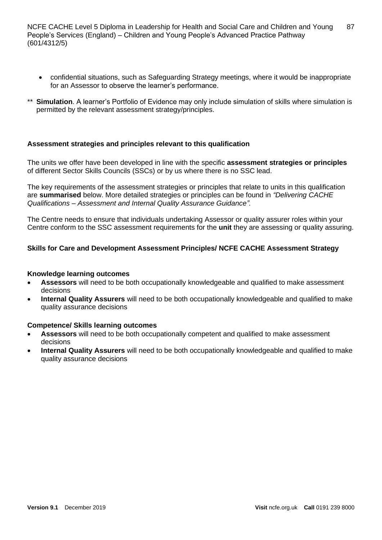NCFE CACHE Level 5 Diploma in Leadership for Health and Social Care and Children and Young 87 People's Services (England) – Children and Young People's Advanced Practice Pathway (601/4312/5)

- confidential situations, such as Safeguarding Strategy meetings, where it would be inappropriate for an Assessor to observe the learner's performance.
- \*\* **Simulation**. A learner's Portfolio of Evidence may only include simulation of skills where simulation is permitted by the relevant assessment strategy/principles.

#### **Assessment strategies and principles relevant to this qualification**

The units we offer have been developed in line with the specific **assessment strategies or principles** of different Sector Skills Councils (SSCs) or by us where there is no SSC lead.

The key requirements of the assessment strategies or principles that relate to units in this qualification are **summarised** below. More detailed strategies or principles can be found in *"Delivering CACHE Qualifications – Assessment and Internal Quality Assurance Guidance".*

The Centre needs to ensure that individuals undertaking Assessor or quality assurer roles within your Centre conform to the SSC assessment requirements for the **unit** they are assessing or quality assuring.

#### **Skills for Care and Development Assessment Principles/ NCFE CACHE Assessment Strategy**

#### **Knowledge learning outcomes**

- **Assessors** will need to be both occupationally knowledgeable and qualified to make assessment decisions
- **Internal Quality Assurers** will need to be both occupationally knowledgeable and qualified to make quality assurance decisions

#### **Competence/ Skills learning outcomes**

- **Assessors** will need to be both occupationally competent and qualified to make assessment decisions
- **Internal Quality Assurers** will need to be both occupationally knowledgeable and qualified to make quality assurance decisions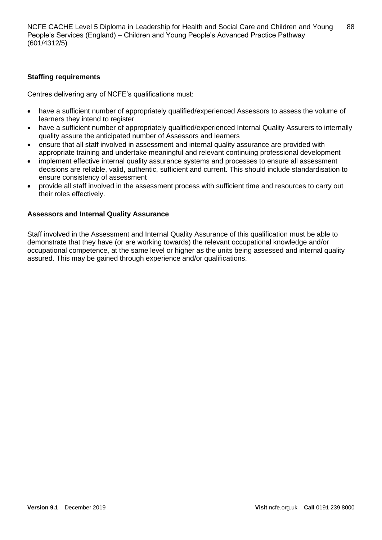NCFE CACHE Level 5 Diploma in Leadership for Health and Social Care and Children and Young 88 People's Services (England) – Children and Young People's Advanced Practice Pathway (601/4312/5)

#### **Staffing requirements**

Centres delivering any of NCFE's qualifications must:

- have a sufficient number of appropriately qualified/experienced Assessors to assess the volume of learners they intend to register
- have a sufficient number of appropriately qualified/experienced Internal Quality Assurers to internally quality assure the anticipated number of Assessors and learners
- ensure that all staff involved in assessment and internal quality assurance are provided with appropriate training and undertake meaningful and relevant continuing professional development
- implement effective internal quality assurance systems and processes to ensure all assessment decisions are reliable, valid, authentic, sufficient and current. This should include standardisation to ensure consistency of assessment
- provide all staff involved in the assessment process with sufficient time and resources to carry out their roles effectively.

#### **Assessors and Internal Quality Assurance**

Staff involved in the Assessment and Internal Quality Assurance of this qualification must be able to demonstrate that they have (or are working towards) the relevant occupational knowledge and/or occupational competence, at the same level or higher as the units being assessed and internal quality assured. This may be gained through experience and/or qualifications.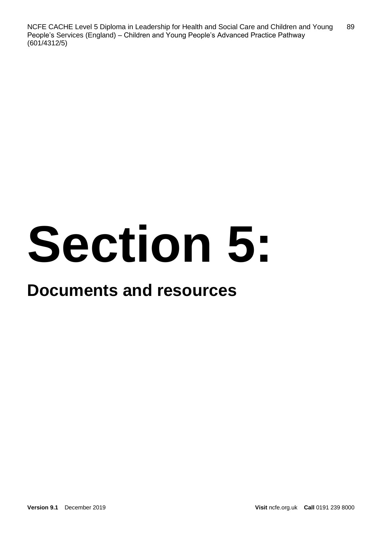NCFE CACHE Level 5 Diploma in Leadership for Health and Social Care and Children and Young 89 People's Services (England) – Children and Young People's Advanced Practice Pathway (601/4312/5)

# **Section 5:**

### **Documents and resources**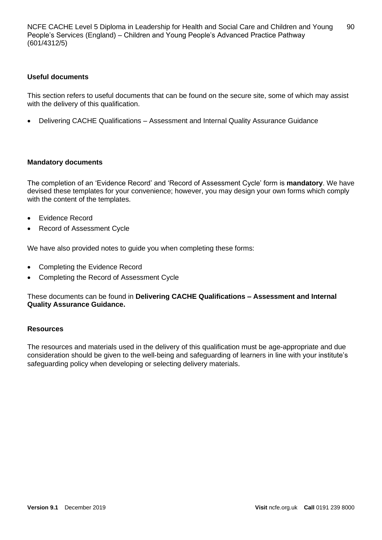NCFE CACHE Level 5 Diploma in Leadership for Health and Social Care and Children and Young 90 People's Services (England) – Children and Young People's Advanced Practice Pathway (601/4312/5)

#### **Useful documents**

This section refers to useful documents that can be found on the secure site, some of which may assist with the delivery of this qualification.

• Delivering CACHE Qualifications – Assessment and Internal Quality Assurance Guidance

#### **Mandatory documents**

The completion of an 'Evidence Record' and 'Record of Assessment Cycle' form is **mandatory**. We have devised these templates for your convenience; however, you may design your own forms which comply with the content of the templates.

- Evidence Record
- Record of Assessment Cycle

We have also provided notes to guide you when completing these forms:

- Completing the Evidence Record
- Completing the Record of Assessment Cycle

These documents can be found in **Delivering CACHE Qualifications – Assessment and Internal Quality Assurance Guidance.**

#### **Resources**

The resources and materials used in the delivery of this qualification must be age-appropriate and due consideration should be given to the well-being and safeguarding of learners in line with your institute's safeguarding policy when developing or selecting delivery materials.